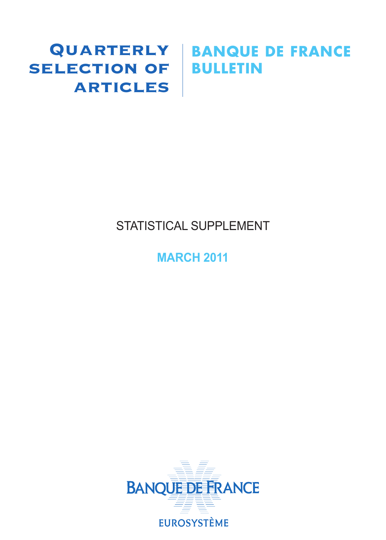## SELECTION OF **BULLETIN ARTICLES**

# Quarterly **BANQUE DE FRANCE**

## STATISTICAL SUPPLEMENT

## **MARCH 2011**

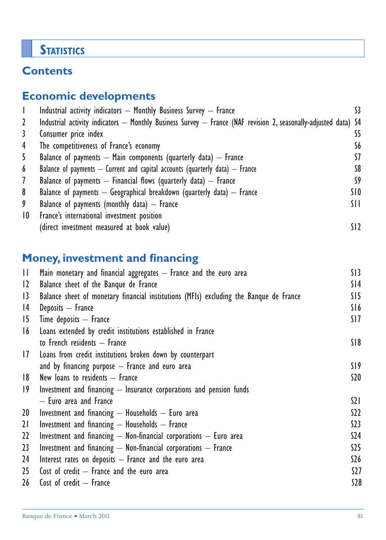## **STATISTICS**

### **Contents**

## **Economic developments**

|                 | Industrial activity indicators - Monthly Business Survey - France                                               | 33              |
|-----------------|-----------------------------------------------------------------------------------------------------------------|-----------------|
| 2               | Industrial activity indicators — Monthly Business Survey — France (NAF revision 2, seasonally-adjusted data) S4 |                 |
| 3               | Consumer price index                                                                                            | S5              |
| 4               | The competitiveness of France's economy                                                                         | S6              |
| 5               | Balance of payments $-$ Main components (quarterly data) $-$ France                                             | 57              |
| 6               | Balance of payments $-$ Current and capital accounts (quarterly data) $-$ France                                | S8              |
| $\mathcal{I}$   | Balance of payments $-$ Financial flows (quarterly data) $-$ France                                             | S9              |
| 8               | Balance of payments $-$ Geographical breakdown (quarterly data) $-$ France                                      | SI O            |
| 9               | Balance of payments (monthly data) $-$ France                                                                   | SH.             |
| $\overline{10}$ | France's international investment position                                                                      |                 |
|                 | (direct investment measured at book value)                                                                      | SI <sub>2</sub> |

## **Money, investment and financing**

| $\mathbf{H}$    | Main monetary and financial aggregates $-$ France and the euro area                    | S13             |
|-----------------|----------------------------------------------------------------------------------------|-----------------|
| 12              | Balance sheet of the Banque de France                                                  | S <sub>14</sub> |
| $\overline{13}$ | Balance sheet of monetary financial institutions (MFIs) excluding the Banque de France | SI5             |
| 4               | Deposits - France                                                                      | S16             |
| 15              | Time deposits $-$ France                                                               | SI <sub>7</sub> |
| 16              | Loans extended by credit institutions established in France                            |                 |
|                 | to French residents - France                                                           | S18             |
| 17              | Loans from credit institutions broken down by counterpart                              |                 |
|                 | and by financing purpose $-$ France and euro area                                      | S19             |
| 8               | New loans to residents $-$ France                                                      | S <sub>20</sub> |
| $ 9\rangle$     | Investment and financing $-$ Insurance corporations and pension funds                  |                 |
|                 | - Euro area and France                                                                 | $\Omega$        |
| 20              | Investment and financing $-$ Households $-$ Euro area                                  | S <sub>2</sub>  |
| 21              | Investment and financing - Households - France                                         | 523             |
| 22              | Investment and financing $-$ Non-financial corporations $-$ Euro area                  | \$24            |
| 23              | Investment and financing $-$ Non-financial corporations $-$ France                     | \$25            |
| 24              | Interest rates on deposits $-$ France and the euro area                                | \$26            |
| 25 <sub>2</sub> | Cost of credit $-$ France and the euro area                                            | <b>S27</b>      |
| 26 <sup>2</sup> | Cost of $credit - France$                                                              | <b>S28</b>      |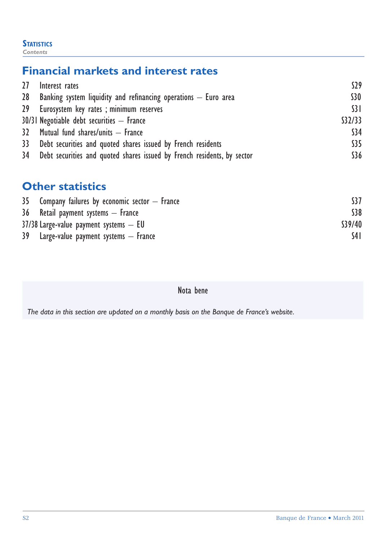#### **STATISTICS**

*Contents*

#### **Financial markets and interest rates**

| 27 Interest rates                                                          | S <sub>29</sub> |
|----------------------------------------------------------------------------|-----------------|
| 28 Banking system liquidity and refinancing operations $-$ Euro area       | S30             |
| 29 Eurosystem key rates; minimum reserves                                  | $\frac{1}{3}$   |
| 30/31 Negotiable debt securities - France                                  | \$32/33         |
| 32 Mutual fund shares/units - France                                       | \$34            |
| 33 Debt securities and quoted shares issued by French residents            | \$35            |
| 34 Debt securities and quoted shares issued by French residents, by sector | \$36            |

#### **Other statistics**

| $35$ Company failures by economic sector $-$ France |        |
|-----------------------------------------------------|--------|
| 36 Retail payment systems – France                  | \$38   |
| $37/38$ Large-value payment systems $-$ EU          | S39/40 |
| $39$ Large-value payment systems $-$ France         | S4 I   |

#### Nota bene

*The data in this section are updated on a monthly basis on the Banque de France's website.*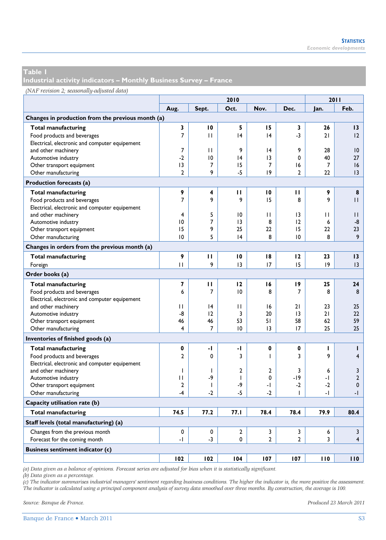**Industrial activity indicators – Monthly Business Survey – France** 

#### *(NAF revision 2; seasonally-adjusted data)*

|                                                   |                |                | 2011           |                 |                |      |                 |
|---------------------------------------------------|----------------|----------------|----------------|-----------------|----------------|------|-----------------|
|                                                   | Aug.           | Sept.          | Oct.           | Nov.            | Dec.           | lan. | Feb.            |
| Changes in production from the previous month (a) |                |                |                |                 |                |      |                 |
| Total manufacturing                               | 3              | 10             | 5              | 15              | 3              | 26   | 13              |
| Food products and beverages                       | $\overline{7}$ | $\mathbf{H}$   | 4              | 4               | -3             | 21   | 12              |
| Electrical, electronic and computer equipement    |                |                |                |                 |                |      |                 |
| and other machinery                               | 7              | $\mathbf{H}$   | 9              | 4               | 9              | 28   | $\overline{10}$ |
| Automotive industry                               | $-2$           | 10             | 4              | $\overline{13}$ | 0              | 40   | 27              |
| Other transport equipment                         | 3              | 7              | 15             | 7               | 16             | 7    | 16              |
| Other manufacturing                               | $\overline{2}$ | 9              | $-5$           | 9               | $\overline{2}$ | 22   | 3               |
| Production forecasts (a)                          |                |                |                |                 |                |      |                 |
| <b>Total manufacturing</b>                        | 9              | 4              | п              | 10              | п              | 9    | 8               |
| Food products and beverages                       | $\overline{7}$ | 9              | 9              | 15              | 8              | 9    | П               |
| Electrical, electronic and computer equipement    |                |                |                |                 |                |      |                 |
| and other machinery                               | 4              | 5              | 10             | $\mathbf{H}$    | 13             | П    | П               |
| Automotive industry                               | 10             | $\overline{7}$ | 13             | 8               | 12             | 6    | -8              |
| Other transport equipment                         | 15             | 9              | 25             | 22              | 15             | 22   | 23              |
| Other manufacturing                               | 10             | 5              | 4              | 8               | 10             | 8    | 9               |
| Changes in orders from the previous month (a)     |                |                |                |                 |                |      |                 |
| <b>Total manufacturing</b>                        | 9              | П              | 10             | 18              | 12             | 23   | 13              |
| Foreign                                           | П              | 9              | 3              | 17              | 15             | 9    | 3               |
| Order books (a)                                   |                |                |                |                 |                |      |                 |
| Total manufacturing                               | 7              | п              | 12             | 16              | 19             | 25   | 24              |
| Food products and beverages                       | 6              | $\overline{7}$ | 10             | 8               | 7              | 8    | 8               |
| Electrical, electronic and computer equipement    |                |                |                |                 |                |      |                 |
| and other machinery                               | П              | 4              | П              | 16              | 21             | 23   | 25              |
| Automotive industry                               | -8             | 12             | 3              | 20              | 3              | 21   | 22              |
| Other transport equipment                         | 46             | 46             | 53             | 51              | 58             | 62   | 59              |
| Other manufacturing                               | 4              | 7              | 10             | 13              | 17             | 25   | 25              |
| Inventories of finished goods (a)                 |                |                |                |                 |                |      |                 |
| <b>Total manufacturing</b>                        | 0              | -1             | -1             | 0               | 0              | ı    | т               |
| Food products and beverages                       | $\overline{2}$ | 0              | 3              | ı               | 3              | 9    | 4               |
| Electrical, electronic and computer equipement    |                |                |                |                 |                |      |                 |
| and other machinery                               | T              | T              | $\overline{2}$ | $\mathbf{2}$    | 3              | 6    | 3               |
| Automotive industry                               | П              | -9             | $\mathbf{I}$   | 0               | $-19$          | -1   | $\overline{2}$  |
| Other transport equipment                         | $\overline{2}$ | $\mathbf{I}$   | -9             | -1              | $-2$           | $-2$ | $\mathbf{0}$    |
| Other manufacturing                               | $-4$           | $-2$           | $-5$           | $-2$            | T              | -1   | $-1$            |
| Capacity utilisation rate (b)                     |                |                |                |                 |                |      |                 |
| <b>Total manufacturing</b>                        | 74.5           | 77.2           | 77.1           | 78.4            | 78.4           | 79.9 | 80.4            |
| Staff levels (total manufacturing) (a)            |                |                |                |                 |                |      |                 |
| Changes from the previous month                   | 0              | 0              | $\mathbf{2}$   | 3               | 3              | 6    | $\mathbf{3}$    |
| Forecast for the coming month                     | $\overline{a}$ | $-3$           | 0              | $\overline{2}$  | $\overline{2}$ | 3    | $\overline{4}$  |
| <b>Business sentiment indicator (c)</b>           |                |                |                |                 |                |      |                 |
|                                                   | 102            | 102            | 104            | 107             | 107            | 110  | 110             |

*(a) Data given as a balance of opinions. Forecast series are adjusted for bias when it is statistically significant.* 

*(b) Data given as a percentage.* 

*(c) The indicator summarises industrial managers' sentiment regarding business conditions. The higher the indicator is, the more positive the assessment. The indicator is calculated using a principal component analysis of survey data smoothed over three months. By construction, the average is 100.*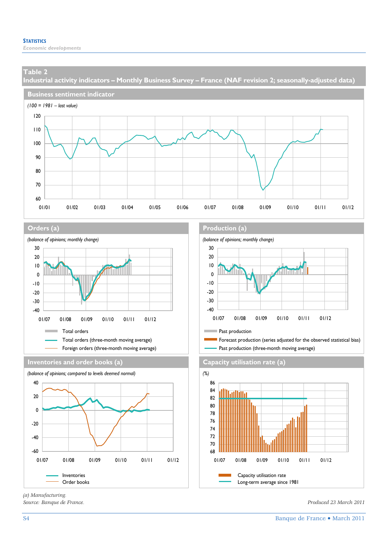**Industrial activity indicators – Monthly Business Survey – France (NAF revision 2; seasonally-adjusted data)** 











*(a) Manufacturing.* 

#### **Orders (a) Orders (a) Production (a)**



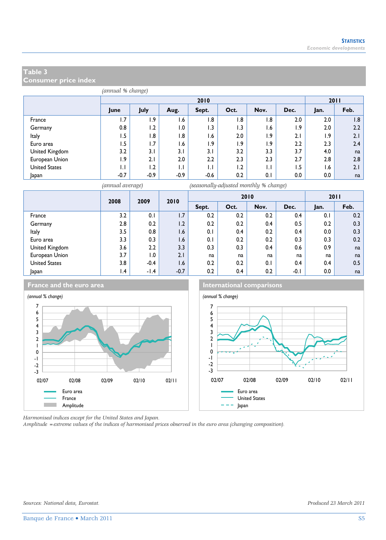**Consumer price index** 

|                      | (annual % change) |        |        |                  |                             |                     |      |      |      |  |  |
|----------------------|-------------------|--------|--------|------------------|-----------------------------|---------------------|------|------|------|--|--|
|                      |                   | 2010   |        |                  |                             |                     |      |      |      |  |  |
|                      | June              | July   | Aug.   | Sept.            | Oct.                        | Nov.                | Dec. | Jan. | Feb. |  |  |
| France               | 1.7               | 1.9    | 1.6    | 1.8              | 1.8                         | 1.8                 | 2.0  | 2.0  | 1.8  |  |  |
| Germany              | 0.8               | 1.2    | 0.1    | 1.3              | 1.3                         | 1.6                 | 1.9  | 2.0  | 2.2  |  |  |
| Italy                | 1.5               | 1.8    | 1.8    | 6.ا              | 2.0                         | ۱.9                 | 2.1  | 1.9  | 2.1  |  |  |
| Euro area            | 1.5               | 1.7    | 1.6    | $\overline{1.9}$ | ۱.9                         | 1.9                 | 2.2  | 2.3  | 2.4  |  |  |
| United Kingdom       | 3.2               | 3.1    | 3.1    | 3.1              | 3.2                         | 3.3                 | 3.7  | 4.0  | na   |  |  |
| European Union       | ۱.9               | 2.1    | 2.0    | $2.2\phantom{0}$ | 2.3                         | 2.3                 | 2.7  | 2.8  | 2.8  |  |  |
| <b>United States</b> | 1.1               | 1.2    | IJ     | $\mathsf{L}$     | 1.2                         | IJ                  | 1.5  | 1.6  | 2.1  |  |  |
| Japan                | $-0.7$            | $-0.9$ | $-0.9$ | $-0.6$           | 0.2                         | 0.1                 | 0.0  | 0.0  | na   |  |  |
|                      | $\mathbf{r}$      |        |        | $-11$            | $\mathbf{a}$ . $\mathbf{a}$ | $-1$ $-1$ $-1$ $-1$ |      |      |      |  |  |



*(annual average) (seasonally-adjusted monthly % change)*

|                      | 2008<br>2009    |        | 2010   |       |      | 2010 |        |      | 2011 |
|----------------------|-----------------|--------|--------|-------|------|------|--------|------|------|
|                      |                 |        |        | Sept. | Oct. | Nov. | Dec.   | Jan. | Feb. |
| France               | 3.2             | 0.1    | 1.7    | 0.2   | 0.2  | 0.2  | 0.4    | 0.1  | 0.2  |
| Germany              | 2.8             | 0.2    | 1.2    | 0.2   | 0.2  | 0.4  | 0.5    | 0.2  | 0.3  |
| Italy                | 3.5             | 0.8    | 1.6    | 0.1   | 0.4  | 0.2  | 0.4    | 0.0  | 0.3  |
| Euro area            | 3.3             | 0.3    | 1.6    | 0.1   | 0.2  | 0.2  | 0.3    | 0.3  | 0.2  |
| United Kingdom       | 3.6             | 2.2    | 3.3    | 0.3   | 0.3  | 0.4  | 0.6    | 0.9  | na   |
| European Union       | 3.7             | 1.0    | 2.1    | na    | na   | na   | na     | na   | na   |
| <b>United States</b> | 3.8             | $-0.4$ | 1.6    | 0.2   | 0.2  | 0.1  | 0.4    | 0.4  | 0.5  |
| Japan                | $\mathsf{I}$ .4 | $-1.4$ | $-0.7$ | 0.2   | 0.4  | 0.2  | $-0.1$ | 0.0  | na   |

#### **France and the euro area International comparisons**



*Harmonised indices except for the United States and Japan.* 

*Amplitude =extreme values of the indices of harmonised prices observed in the euro area (changing composition).*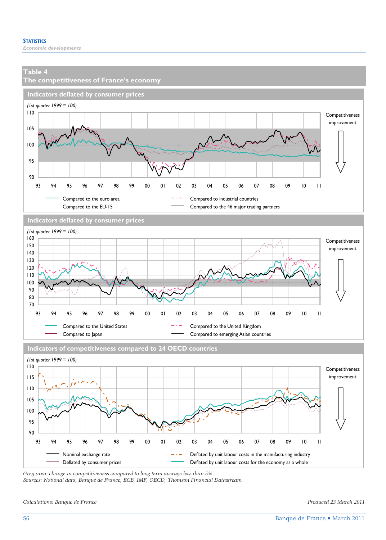

*Sources: National data, Banque de France, ECB, IMF, OECD, Thomson Financial Datastream.* 

*Calculations: Banque de France. Produced 23 March 2011*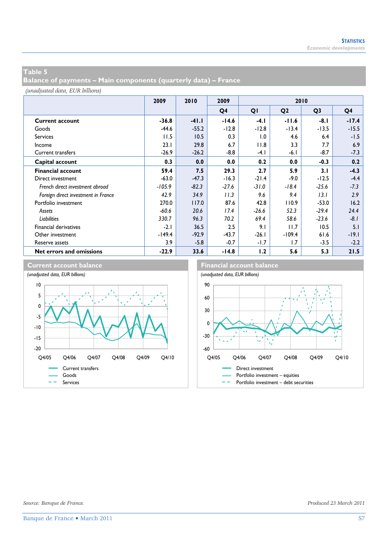**Balance of payments – Main components (quarterly data) – France** 

|                                     | 2009     | 2010    | 2009    | 2010    |                |                |                |
|-------------------------------------|----------|---------|---------|---------|----------------|----------------|----------------|
|                                     |          |         | Q4      | QI      | Q <sub>2</sub> | Q <sub>3</sub> | Q <sub>4</sub> |
| <b>Current account</b>              | $-36.8$  | $-41.1$ | $-14.6$ | $-4.1$  | $-11.6$        | -8.1           | $-17.4$        |
| Goods                               | $-44.6$  | $-55.2$ | $-12.8$ | $-12.8$ | $-13.4$        | $-13.5$        | $-15.5$        |
| <b>Services</b>                     | 11.5     | 10.5    | 0.3     | 1.0     | 4.6            | 6.4            | $-1.5$         |
| Income                              | 23.1     | 29.8    | 6.7     | 11.8    | 3.3            | 7.7            | 6.9            |
| Current transfers                   | $-26.9$  | $-26.2$ | $-8.8$  | $-4.1$  | $-6.1$         | $-8.7$         | $-7.3$         |
| Capital account                     | 0.3      | 0.0     | 0.0     | 0.2     | 0.0            | $-0.3$         | 0.2            |
| <b>Financial account</b>            | 59.4     | 7.5     | 29.3    | 2.7     | 5.9            | 3.1            | $-4.3$         |
| Direct investment                   | $-63.0$  | $-47.3$ | $-16.3$ | $-21.4$ | $-9.0$         | $-12.5$        | $-4.4$         |
| French direct investment abroad     | $-105.9$ | $-82.3$ | $-27.6$ | $-31.0$ | $-18.4$        | $-25.6$        | $-7.3$         |
| Foreign direct investment in France | 42.9     | 34.9    | 11.3    | 9.6     | 9.4            | 13.1           | 2.9            |
| Portfolio investment                | 270.0    | 117.0   | 87.6    | 42.8    | 110.9          | $-53.0$        | 16.2           |
| Assets                              | $-60.6$  | 20.6    | 17.4    | $-26.6$ | 52.3           | $-29.4$        | 24.4           |
| Liabilities                         | 330.7    | 96.3    | 70.2    | 69.4    | 58.6           | $-23.6$        | $-8.1$         |
| <b>Financial derivatives</b>        | $-2.1$   | 36.5    | 2.5     | 9.1     | 11.7           | 10.5           | 5.1            |
| Other investment                    | $-149.4$ | $-92.9$ | $-43.7$ | $-26.1$ | $-109.4$       | 61.6           | $-19.1$        |
| Reserve assets                      | 3.9      | $-5.8$  | $-0.7$  | $-1.7$  | 1.7            | $-3.5$         | $-2.2$         |
| Net errors and omissions            | $-22.9$  | 33.6    | $-14.8$ | 1.2     | 5.6            | 5.3            | 21.5           |

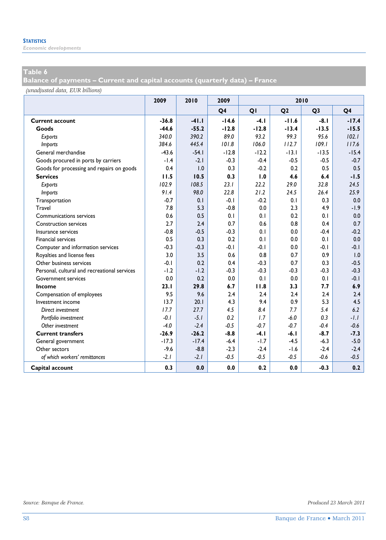*Economic developments* 

#### **Table 6**

**Balance of payments – Current and capital accounts (quarterly data) – France** 

|                                              | 2009    | 2010    | 2009           | 2010    |                |                |                |
|----------------------------------------------|---------|---------|----------------|---------|----------------|----------------|----------------|
|                                              |         |         | Q <sub>4</sub> | QI      | Q <sub>2</sub> | Q <sub>3</sub> | Q <sub>4</sub> |
| <b>Current account</b>                       | $-36.8$ | $-41.1$ | $-14.6$        | $-4.1$  | $-11.6$        | $-8.1$         | $-17.4$        |
| Goods                                        | $-44.6$ | $-55.2$ | $-12.8$        | $-12.8$ | $-13.4$        | $-13.5$        | $-15.5$        |
| Exports                                      | 340.0   | 390.2   | 89.0           | 93.2    | 99.3           | 95.6           | 102.1          |
| <b>Imports</b>                               | 384.6   | 445.4   | 101.8          | 106.0   | 112.7          | 109.1          | 117.6          |
| General merchandise                          | $-43.6$ | $-54.1$ | $-12.8$        | $-12.2$ | $-13.1$        | $-13.5$        | $-15.4$        |
| Goods procured in ports by carriers          | $-1.4$  | $-2.1$  | $-0.3$         | $-0.4$  | $-0.5$         | $-0.5$         | $-0.7$         |
| Goods for processing and repairs on goods    | 0.4     | 1.0     | 0.3            | $-0.2$  | 0.2            | 0.5            | 0.5            |
| <b>Services</b>                              | 11.5    | 10.5    | 0.3            | 1.0     | 4.6            | 6.4            | $-1.5$         |
| Exports                                      | 102.9   | 108.5   | 23.1           | 22.2    | 29.0           | 32.8           | 24.5           |
| <b>Imports</b>                               | 91.4    | 98.0    | 22.8           | 21.2    | 24.5           | 26.4           | 25.9           |
| Transportation                               | $-0.7$  | 0.1     | $-0.1$         | $-0.2$  | 0.1            | 0.3            | 0.0            |
| Travel                                       | 7.8     | 5.3     | $-0.8$         | 0.0     | 2.3            | 4.9            | $-1.9$         |
| Communications services                      | 0.6     | 0.5     | 0.1            | 0.1     | 0.2            | 0.1            | 0.0            |
| <b>Construction services</b>                 | 2.7     | 2.4     | 0.7            | 0.6     | 0.8            | 0.4            | 0.7            |
| Insurance services                           | $-0.8$  | $-0.5$  | $-0.3$         | 0.1     | 0.0            | $-0.4$         | $-0.2$         |
| <b>Financial services</b>                    | 0.5     | 0.3     | 0.2            | 0.1     | 0.0            | 0.1            | 0.0            |
| Computer and information services            | $-0.3$  | $-0.3$  | $-0.1$         | $-0.1$  | 0.0            | $-0.1$         | $-0.1$         |
| Royalties and license fees                   | 3.0     | 3.5     | 0.6            | 0.8     | 0.7            | 0.9            | 1.0            |
| Other business services                      | $-0.1$  | 0.2     | 0.4            | $-0.3$  | 0.7            | 0.3            | $-0.5$         |
| Personal. cultural and recreational services | $-1.2$  | $-1.2$  | $-0.3$         | $-0.3$  | $-0.3$         | $-0.3$         | $-0.3$         |
| <b>Government services</b>                   | 0.0     | 0.2     | 0.0            | 0.1     | 0.0            | 0.1            | $-0.1$         |
| Income                                       | 23.1    | 29.8    | 6.7            | 11.8    | 3.3            | 7.7            | 6.9            |
| Compensation of employees                    | 9.5     | 9.6     | 2.4            | 2.4     | 2.4            | 2.4            | 2.4            |
| Investment income                            | 13.7    | 20.1    | 4.3            | 9.4     | 0.9            | 5.3            | 4.5            |
| Direct investment                            | 17.7    | 27.7    | 4.5            | 8.4     | 7.7            | 5.4            | 6.2            |
| Portfolio investment                         | $-0.1$  | $-5.1$  | 0.2            | 1.7     | $-6.0$         | 0.3            | $-1.1$         |
| Other investment                             | $-4.0$  | $-2.4$  | $-0.5$         | $-0.7$  | $-0.7$         | $-0.4$         | $-0.6$         |
| <b>Current transfers</b>                     | $-26.9$ | $-26.2$ | $-8.8$         | $-4.1$  | $-6.1$         | $-8.7$         | $-7.3$         |
| General government                           | $-17.3$ | $-17.4$ | $-6.4$         | $-1.7$  | $-4.5$         | $-6.3$         | $-5.0$         |
| Other sectors                                | $-9.6$  | $-8.8$  | $-2.3$         | $-2.4$  | $-1.6$         | $-2.4$         | $-2.4$         |
| of which workers' remittances                | $-2.1$  | $-2.1$  | $-0.5$         | $-0.5$  | $-0.5$         | $-0.6$         | $-0.5$         |
| Capital account                              | 0.3     | 0.0     | 0.0            | 0.2     | 0.0            | $-0.3$         | 0.2            |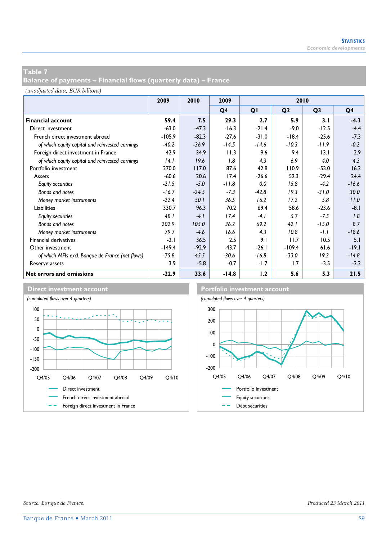**Balance of payments – Financial flows (quarterly data) – France** 

|                                                  | 2009     | 2010<br>2010<br>2009 |                |         |                |                |         |
|--------------------------------------------------|----------|----------------------|----------------|---------|----------------|----------------|---------|
|                                                  |          |                      | Q <sub>4</sub> | QI      | Q <sub>2</sub> | Q <sub>3</sub> | Q4      |
| <b>Financial account</b>                         | 59.4     | 7.5                  | 29.3           | 2.7     | 5.9            | 3.1            | $-4.3$  |
| Direct investment                                | $-63.0$  | $-47.3$              | $-16.3$        | $-21.4$ | $-9.0$         | $-12.5$        | $-4.4$  |
| French direct investment abroad                  | $-105.9$ | $-82.3$              | $-27.6$        | $-31.0$ | $-18.4$        | $-25.6$        | $-7.3$  |
| of which equity capital and reinvested earnings  | $-40.2$  | $-36.9$              | $-14.5$        | $-14.6$ | $-10.3$        | $-11.9$        | $-0.2$  |
| Foreign direct investment in France              | 42.9     | 34.9                 | 11.3           | 9.6     | 9.4            | 3.1            | 2.9     |
| of which equity capital and reinvested earnings  | 14.1     | 19.6                 | 1.8            | 4.3     | 6.9            | 4.0            | 4.3     |
| Portfolio investment                             | 270.0    | 117.0                | 87.6           | 42.8    | 110.9          | $-53.0$        | 16.2    |
| Assets                                           | $-60.6$  | 20.6                 | 17.4           | $-26.6$ | 52.3           | $-29.4$        | 24.4    |
| <b>Equity securities</b>                         | $-21.5$  | $-5.0$               | $-11.8$        | 0.0     | 15.8           | $-4.2$         | $-16.6$ |
| Bonds and notes                                  | $-16.7$  | $-24.5$              | $-7.3$         | $-42.8$ | 19.3           | $-31.0$        | 30.0    |
| Money market instruments                         | $-22.4$  | 50.1                 | 36.5           | 16.2    | 17.2           | 5.8            | 11.0    |
| Liabilities                                      | 330.7    | 96.3                 | 70.2           | 69.4    | 58.6           | $-23.6$        | $-8.1$  |
| <b>Equity securities</b>                         | 48.1     | $-4.1$               | 17.4           | $-4.1$  | 5.7            | $-7.5$         | 1.8     |
| Bonds and notes                                  | 202.9    | 105.0                | 36.2           | 69.2    | 42.1           | $-15.0$        | 8.7     |
| Money market instruments                         | 79.7     | $-4.6$               | 16.6           | 4.3     | 10.8           | $-1.1$         | $-18.6$ |
| Financial derivatives                            | $-2.1$   | 36.5                 | 2.5            | 9.1     | 11.7           | 10.5           | 5.1     |
| Other investment                                 | $-149.4$ | $-92.9$              | $-43.7$        | $-26.1$ | $-109.4$       | 61.6           | $-19.1$ |
| of which MFIs excl. Banque de France (net flows) | $-75.8$  | $-45.5$              | $-30.6$        | $-16.8$ | $-33.0$        | 19.2           | $-14.8$ |
| Reserve assets                                   | 3.9      | $-5.8$               | $-0.7$         | $-1.7$  | 1.7            | $-3.5$         | $-2.2$  |
| Net errors and omissions                         | $-22.9$  | 33.6                 | $-14.8$        | 1.2     | 5.6            | 5.3            | 21.5    |



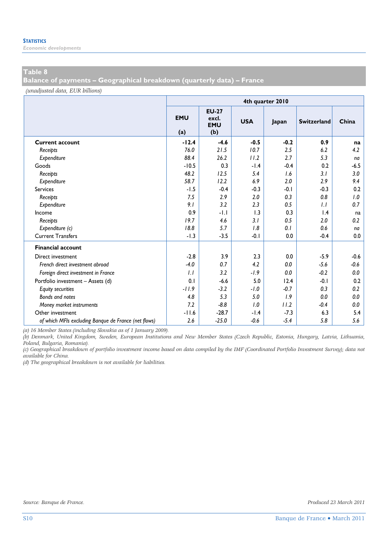*Economic developments* 

#### **Table 8**

**Balance of payments – Geographical breakdown (quarterly data) – France** 

*(unadjusted data, EUR billions)*

|                                                      | 4th quarter 2010  |                                            |            |        |                    |        |  |  |  |  |
|------------------------------------------------------|-------------------|--------------------------------------------|------------|--------|--------------------|--------|--|--|--|--|
|                                                      | <b>EMU</b><br>(a) | <b>EU-27</b><br>excl.<br><b>EMU</b><br>(b) | <b>USA</b> | Japan  | <b>Switzerland</b> | China  |  |  |  |  |
| <b>Current account</b>                               | $-12.4$           | $-4.6$                                     | $-0.5$     | $-0.2$ | 0.9                | na     |  |  |  |  |
| Receipts                                             | 76.0              | 21.5                                       | 10.7       | 2.5    | 6.2                | 4.2    |  |  |  |  |
| Expenditure                                          | 88.4              | 26.2                                       | 11.2       | 2.7    | 5.3                | na     |  |  |  |  |
| Goods                                                | $-10.5$           | 0.3                                        | $-1.4$     | $-0.4$ | 0.2                | $-6.5$ |  |  |  |  |
| Receipts                                             | 48.2              | 12.5                                       | 5.4        | 1.6    | 3.1                | 3.0    |  |  |  |  |
| Expenditure                                          | 58.7              | 12.2                                       | 6.9        | 2.0    | 2.9                | 9.4    |  |  |  |  |
| <b>Services</b>                                      | $-1.5$            | $-0.4$                                     | $-0.3$     | $-0.1$ | $-0.3$             | 0.2    |  |  |  |  |
| Receipts                                             | 7.5               | 2.9                                        | 2.0        | 0.3    | 0.8                | 1.0    |  |  |  |  |
| Expenditure                                          | 9.1               | 3.2                                        | 2.3        | 0.5    | 1.1                | 0.7    |  |  |  |  |
| Income                                               | 0.9               | -1.1                                       | 1.3        | 0.3    | 1.4                | na     |  |  |  |  |
| Receipts                                             | 19.7              | 4.6                                        | 3.1        | 0.5    | 2.0                | 0.2    |  |  |  |  |
| Expenditure (c)                                      | 18.8              | 5.7                                        | 1.8        | 0.1    | 0.6                | na     |  |  |  |  |
| <b>Current Transfers</b>                             | $-1.3$            | $-3.5$                                     | $-0.1$     | 0.0    | $-0.4$             | 0.0    |  |  |  |  |
| <b>Financial account</b>                             |                   |                                            |            |        |                    |        |  |  |  |  |
| Direct investment                                    | $-2.8$            | 3.9                                        | 2.3        | 0.0    | $-5.9$             | $-0.6$ |  |  |  |  |
| French direct investment abroad                      | $-4.0$            | 0.7                                        | 4.2        | 0.0    | $-5.6$             | $-0.6$ |  |  |  |  |
| Foreign direct investment in France                  | 1.1               | 3.2                                        | $-1.9$     | 0.0    | $-0.2$             | 0.0    |  |  |  |  |
| Portfolio investment - Assets (d)                    | 0.1               | $-6.6$                                     | 5.0        | 12.4   | $-0.1$             | 0.2    |  |  |  |  |
| <b>Equity securities</b>                             | $-11.9$           | $-3.2$                                     | $-1.0$     | $-0.7$ | 0.3                | 0.2    |  |  |  |  |
| <b>Bonds and notes</b>                               | 4.8               | 5.3                                        | 5.0        | 1.9    | 0.0                | 0.0    |  |  |  |  |
| Money market instruments                             | 7.2               | $-8.8$                                     | 1.0        | 11.2   | $-0.4$             | 0.0    |  |  |  |  |
| Other investment                                     | $-11.6$           | $-28.7$                                    | $-1.4$     | $-7.3$ | 6.3                | 5.4    |  |  |  |  |
| of which MFIs excluding Banque de France (net flows) | 2.6               | $-25.0$                                    | $-0.6$     | $-5.4$ | 5.8                | 5.6    |  |  |  |  |

*(a) 16 Member States (including Slovakia as of 1 January 2009).* 

*(b) Denmark, United Kingdom, Sweden, European Institutions and New Member States (Czech Republic, Estonia, Hungary, Latvia, Lithuania, Poland, Bulgaria, Romania).* 

*(c) Geographical breakdown of portfolio investment income based on data compiled by the IMF (Coordinated Portfolio Investment Survey); data not available for China.* 

*(d) The geographical breakdown is not available for liabilities.*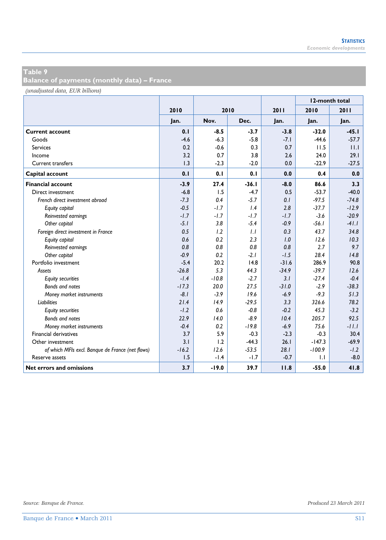**Balance of payments (monthly data) – France** 

|                                                  |         |         |         |         |          | 12-month total |
|--------------------------------------------------|---------|---------|---------|---------|----------|----------------|
|                                                  | 2010    |         | 2010    | 2011    | 2010     | 2011           |
|                                                  | Jan.    | Nov.    | Dec.    | Jan.    | Jan.     | Jan.           |
| <b>Current account</b>                           | 0.1     | $-8.5$  | $-3.7$  | $-3.8$  | $-32.0$  | $-45.1$        |
| Goods                                            | $-4.6$  | $-6.3$  | $-5.8$  | $-7.1$  | $-44.6$  | $-57.7$        |
| <b>Services</b>                                  | 0.2     | $-0.6$  | 0.3     | 0.7     | 11.5     | 11.1           |
| Income                                           | 3.2     | 0.7     | 3.8     | 2.6     | 24.0     | 29.1           |
| Current transfers                                | 1.3     | $-2.3$  | $-2.0$  | 0.0     | $-22.9$  | $-27.5$        |
| Capital account                                  | 0.1     | 0.1     | 0.1     | 0.0     | 0.4      | 0.0            |
| <b>Financial account</b>                         | $-3.9$  | 27.4    | $-36.1$ | $-8.0$  | 86.6     | 3.3            |
| Direct investment                                | $-6.8$  | 1.5     | $-4.7$  | 0.5     | $-53.7$  | $-40.0$        |
| French direct investment abroad                  | $-7.3$  | 0.4     | $-5.7$  | 0.1     | $-97.5$  | $-74.8$        |
| Equity capital                                   | $-0.5$  | $-1.7$  | 1.4     | 2.8     | $-37.7$  | $-12.9$        |
| Reinvested earnings                              | $-1.7$  | $-1.7$  | $-1.7$  | $-1.7$  | $-3.6$   | $-20.9$        |
| Other capital                                    | $-5.1$  | 3.8     | $-5.4$  | $-0.9$  | $-56.1$  | $-41.1$        |
| Foreign direct investment in France              | 0.5     | 1.2     | 1.1     | 0.3     | 43.7     | 34.8           |
| Equity capital                                   | 0.6     | 0.2     | 2.3     | 1.0     | 12.6     | 10.3           |
| Reinvested earnings                              | 0.8     | 0.8     | 0.8     | 0.8     | 2.7      | 9.7            |
| Other capital                                    | $-0.9$  | 0.2     | $-2.1$  | $-1.5$  | 28.4     | 14.8           |
| Portfolio investment                             | $-5.4$  | 20.2    | 14.8    | $-31.6$ | 286.9    | 90.8           |
| Assets                                           | $-26.8$ | 5.3     | 44.3    | $-34.9$ | $-39.7$  | 12.6           |
| <b>Equity securities</b>                         | $-1.4$  | $-10.8$ | $-2.7$  | 3.1     | $-27.4$  | $-0.4$         |
| <b>Bonds and notes</b>                           | $-17.3$ | 20.0    | 27.5    | $-31.0$ | $-2.9$   | $-38.3$        |
| Money market instruments                         | $-8.1$  | $-3.9$  | 19.6    | $-6.9$  | $-9.3$   | 51.3           |
| <b>Liabilities</b>                               | 21.4    | 14.9    | $-29.5$ | 3.3     | 326.6    | 78.2           |
| <b>Equity securities</b>                         | $-1.2$  | 0.6     | $-0.8$  | $-0.2$  | 45.3     | $-3.2$         |
| Bonds and notes                                  | 22.9    | 14.0    | $-8.9$  | 10.4    | 205.7    | 92.5           |
| Money market instruments                         | $-0.4$  | 0.2     | $-19.8$ | $-6.9$  | 75.6     | $-11.1$        |
| Financial derivatives                            | 3.7     | 5.9     | $-0.3$  | $-2.3$  | $-0.3$   | 30.4           |
| Other investment                                 | 3.1     | 1.2     | $-44.3$ | 26.1    | $-147.3$ | $-69.9$        |
| of which MFIs excl. Banque de France (net flows) | $-16.2$ | 12.6    | $-53.5$ | 28.1    | $-100.9$ | $-1.2$         |
| Reserve assets                                   | 1.5     | $-1.4$  | $-1.7$  | $-0.7$  | 1.1      | $-8.0$         |
| Net errors and omissions                         | 3.7     | $-19.0$ | 39.7    | 11.8    | $-55.0$  | 41.8           |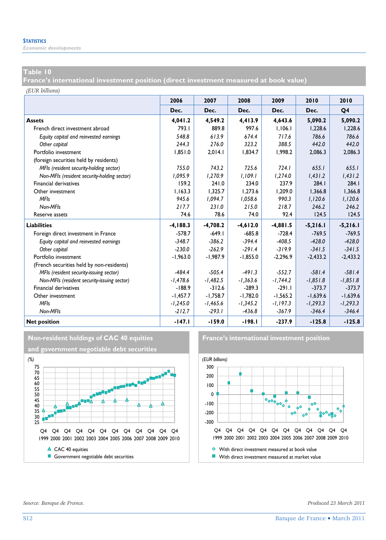*Economic developments* 

#### **Table 10**

**France's international investment position (direct investment measured at book value)** 

*(EUR billions)*

|                                             | 2006        | 2007       | 2008       | 2009       | 2010       | 2010       |
|---------------------------------------------|-------------|------------|------------|------------|------------|------------|
|                                             | Dec.        | Dec.       | Dec.       | Dec.       | Dec.       | Q4         |
| <b>Assets</b>                               | 4,041.2     | 4,549.2    | 4,413.9    | 4,643.6    | 5,090.2    | 5,090.2    |
| French direct investment abroad             | 793.1       | 889.8      | 997.6      | 1,106.1    | 1,228.6    | 1,228.6    |
| Equity capital and reinvested earnings      | 548.8       | 613.9      | 674.4      | 717.6      | 786.6      | 786.6      |
| Other capital                               | 244.3       | 276.0      | 323.2      | 388.5      | 442.0      | 442.0      |
| Portfolio investment                        | 1.851.0     | 2.014.1    | 1.834.7    | 1.998.2    | 2.086.3    | 2.086.3    |
| (foreign securities held by residents)      |             |            |            |            |            |            |
| MFIs (resident security-holding sector)     | 755.0       | 743.2      | 725.6      | 724.1      | 655.1      | 655.1      |
| Non-MFIs (resident security-holding sector) | 1.095.9     | 1,270.9    | 1.109.1    | 1,274.0    | 1,431.2    | 1,431.2    |
| Financial derivatives                       | 159.2       | 241.0      | 234.0      | 237.9      | 284.1      | 284.1      |
| Other investment                            | 1,163.3     | 1,325.7    | 1,273.6    | 1,209.0    | 1,366.8    | 1,366.8    |
| <b>MFIs</b>                                 | 945.6       | 1.094.7    | 1,058.6    | 990.3      | 1,120.6    | 1,120.6    |
| Non-MFIs                                    | 217.7       | 231.0      | 215.0      | 218.7      | 246.2      | 246.2      |
| Reserve assets                              | 74.6        | 78.6       | 74.0       | 92.4       | 124.5      | 124.5      |
| <b>Liabilities</b>                          | $-4, 188.3$ | $-4,708.2$ | $-4,612.0$ | $-4,881.5$ | $-5,216.1$ | $-5,216.1$ |
| Foreign direct investment in France         | $-578.7$    | $-649.1$   | $-685.8$   | $-728.4$   | $-769.5$   | $-769.5$   |
| Equity capital and reinvested earnings      | $-348.7$    | $-386.2$   | $-394.4$   | $-408.5$   | $-428.0$   | $-428.0$   |
| Other capital                               | $-230.0$    | $-262.9$   | $-291.4$   | $-319.9$   | $-341.5$   | $-341.5$   |
| Portfolio investment                        | $-1,963.0$  | $-1,987.9$ | $-1,855.0$ | $-2,296.9$ | $-2,433.2$ | $-2,433.2$ |
| (French securities held by non-residents)   |             |            |            |            |            |            |
| MFIs (resident security-issuing sector)     | $-484.4$    | $-505.4$   | $-491.3$   | $-552.7$   | $-581.4$   | $-581.4$   |
| Non-MFIs (resident security-issuing sector) | $-1,478.6$  | $-1,482.5$ | $-1,363.6$ | $-1,744.2$ | $-1,851.8$ | $-1,851.8$ |
| <b>Financial derivatives</b>                | $-188.9$    | $-312.6$   | $-289.3$   | $-291.1$   | $-373.7$   | $-373.7$   |
| Other investment                            | $-1,457.7$  | $-1.758.7$ | $-1,782.0$ | $-1.565.2$ | $-1,639.6$ | $-1.639.6$ |
| <b>MFIs</b>                                 | $-1,245.0$  | $-1,465.6$ | $-1,345.2$ | $-1,197.3$ | $-1,293.3$ | $-1,293.3$ |
| Non-MFIs                                    | $-212.7$    | $-293.1$   | $-436.8$   | $-367.9$   | $-346.4$   | $-346.4$   |
| <b>Net position</b>                         | $-147.1$    | $-159.0$   | $-198.1$   | $-237.9$   | $-125.8$   | $-125.8$   |



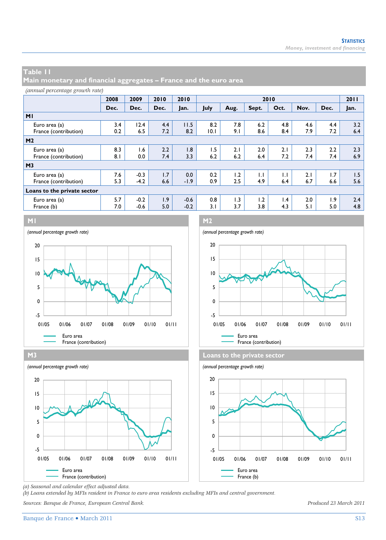**Main monetary and financial aggregates – France and the euro area** 

|  | (annual percentage growth rate) |  |  |
|--|---------------------------------|--|--|
|--|---------------------------------|--|--|

|                             | 2008 | 2009   | 2010 | 2010   | 2010 |      |       |                 |      |      |      |
|-----------------------------|------|--------|------|--------|------|------|-------|-----------------|------|------|------|
|                             | Dec. | Dec.   | Dec. | Jan.   | July | Aug. | Sept. | Oct.            | Nov. | Dec. | Jan. |
| M <sub>1</sub>              |      |        |      |        |      |      |       |                 |      |      |      |
| Euro area (a)               | 3.4  | 12.4   | 4.4  | 11.5   | 8.2  | 7.8  | 6.2   | 4.8             | 4.6  | 4.4  | 3.2  |
| France (contribution)       | 0.2  | 6.5    | 7.2  | 8.2    | 10.1 | 9.1  | 8.6   | 8.4             | 7.9  | 7.2  | 6.4  |
| M <sub>2</sub>              |      |        |      |        |      |      |       |                 |      |      |      |
| Euro area (a)               | 8.3  | 1.6    | 2.2  | 1.8    | 1.5  | 2.1  | 2.0   | 2.1             | 2.3  | 2.2  | 2.3  |
| France (contribution)       | 8.1  | 0.0    | 7.4  | 3.3    | 6.2  | 6.2  | 6.4   | 7.2             | 7.4  | 7.4  | 6.9  |
| M <sub>3</sub>              |      |        |      |        |      |      |       |                 |      |      |      |
| Euro area (a)               | 7.6  | $-0.3$ | 1.7  | 0.0    | 0.2  | 1.2  | IJ    | IJ              | 2.1  | 1.7  | 1.5  |
| France (contribution)       | 5.3  | $-4.2$ | 6.6  | $-1.9$ | 0.9  | 2.5  | 4.9   | 6.4             | 6.7  | 6.6  | 5.6  |
| Loans to the private sector |      |        |      |        |      |      |       |                 |      |      |      |
| Euro area (a)               | 5.7  | $-0.2$ | 1.9  | $-0.6$ | 0.8  | 1.3  | 1.2   | $\mathsf{I}$ .4 | 2.0  | 1.9  | 2.4  |
| France (b)                  | 7.0  | $-0.6$ | 5.0  | $-0.2$ | 3.1  | 3.7  | 3.8   | 4.3             | 5.1  | 5.0  | 4.8  |
|                             |      |        |      |        |      |      |       |                 |      |      |      |









*(a) Seasonal and calendar effect adjusted data.* 

*(b) Loans extended by MFIs resident in France to euro area residents excluding MFIs and central government.* 

*Sources: Banque de France, European Central Bank. Produced 23 March 2011*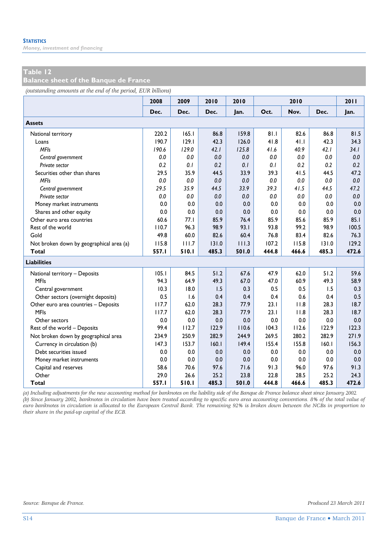*Money, investment and financing* 

#### **Table 12**

**Balance sheet of the Banque de France** 

*(outstanding amounts at the end of the period, EUR billions)*

|                                          | 2008  | 2009  | 2010  | 2010  |       | 2010  |       | 2011  |
|------------------------------------------|-------|-------|-------|-------|-------|-------|-------|-------|
|                                          | Dec.  | Dec.  | Dec.  | Jan.  | Oct.  | Nov.  | Dec.  | Jan.  |
| <b>Assets</b>                            |       |       |       |       |       |       |       |       |
| National territory                       | 220.2 | 165.1 | 86.8  | 159.8 | 81.1  | 82.6  | 86.8  | 81.5  |
| Loans                                    | 190.7 | 129.1 | 42.3  | 126.0 | 41.8  | 41.1  | 42.3  | 34.3  |
| <b>MFIs</b>                              | 190.6 | 129.0 | 42.1  | 125.8 | 41.6  | 40.9  | 42.1  | 34.1  |
| Central government                       | 0.0   | 0.0   | 0.0   | 0.0   | 0.0   | 0.0   | 0.0   | 0.0   |
| Private sector                           | 0.2   | 0.1   | 0.2   | 0.1   | 0.1   | 0.2   | 0.2   | 0.2   |
| Securities other than shares             | 29.5  | 35.9  | 44.5  | 33.9  | 39.3  | 41.5  | 44.5  | 47.2  |
| <b>MFIs</b>                              | 0.0   | 0.0   | 0.0   | 0.0   | 0.0   | 0.0   | 0.0   | 0.0   |
| Central government                       | 29.5  | 35.9  | 44.5  | 33.9  | 39.3  | 41.5  | 44.5  | 47.2  |
| Private sector                           | 0.0   | 0.0   | 0.0   | 0.0   | 0.0   | 0.0   | 0.0   | 0.0   |
| Money market instruments                 | 0.0   | 0.0   | 0.0   | 0.0   | 0.0   | 0.0   | 0.0   | 0.0   |
| Shares and other equity                  | 0.0   | 0.0   | 0.0   | 0.0   | 0.0   | 0.0   | 0.0   | 0.0   |
| Other euro area countries                | 60.6  | 77.1  | 85.9  | 76.4  | 85.9  | 85.6  | 85.9  | 85.1  |
| Rest of the world                        | 110.7 | 96.3  | 98.9  | 93.1  | 93.8  | 99.2  | 98.9  | 100.5 |
| Gold                                     | 49.8  | 60.0  | 82.6  | 60.4  | 76.8  | 83.4  | 82.6  | 76.3  |
| Not broken down by geographical area (a) | 115.8 | 111.7 | 131.0 | 111.3 | 107.2 | 115.8 | 131.0 | 129.2 |
| <b>Total</b>                             | 557.1 | 510.1 | 485.3 | 501.0 | 444.8 | 466.6 | 485.3 | 472.6 |
| <b>Liabilities</b>                       |       |       |       |       |       |       |       |       |
| National territory - Deposits            | 105.1 | 84.5  | 51.2  | 67.6  | 47.9  | 62.0  | 51.2  | 59.6  |
| <b>MFIs</b>                              | 94.3  | 64.9  | 49.3  | 67.0  | 47.0  | 60.9  | 49.3  | 58.9  |
| Central government                       | 10.3  | 18.0  | 1.5   | 0.3   | 0.5   | 0.5   | 1.5   | 0.3   |
| Other sectors (overnight deposits)       | 0.5   | 1.6   | 0.4   | 0.4   | 0.4   | 0.6   | 0.4   | 0.5   |
| Other euro area countries - Deposits     | 117.7 | 62.0  | 28.3  | 77.9  | 23.1  | 11.8  | 28.3  | 18.7  |
| <b>MFIs</b>                              | 117.7 | 62.0  | 28.3  | 77.9  | 23.1  | 11.8  | 28.3  | 18.7  |
| Other sectors                            | 0.0   | 0.0   | 0.0   | 0.0   | 0.0   | 0.0   | 0.0   | 0.0   |
| Rest of the world - Deposits             | 99.4  | 112.7 | 122.9 | 110.6 | 104.3 | 112.6 | 122.9 | 122.3 |
| Not broken down by geographical area     | 234.9 | 250.9 | 282.9 | 244.9 | 269.5 | 280.2 | 282.9 | 271.9 |
| Currency in circulation (b)              | 147.3 | 153.7 | 160.1 | 149.4 | 155.4 | 155.8 | 160.1 | 156.3 |
| Debt securities issued                   | 0.0   | 0.0   | 0.0   | 0.0   | 0.0   | 0.0   | 0.0   | 0.0   |
| Money market instruments                 | 0.0   | 0.0   | 0.0   | 0.0   | 0.0   | 0.0   | 0.0   | 0.0   |
| Capital and reserves                     | 58.6  | 70.6  | 97.6  | 71.6  | 91.3  | 96.0  | 97.6  | 91.3  |
| Other                                    | 29.0  | 26.6  | 25.2  | 23.8  | 22.8  | 28.5  | 25.2  | 24.3  |
| Total                                    | 557.I | 510.1 | 485.3 | 501.0 | 444.8 | 466.6 | 485.3 | 472.6 |

*(a) Including adjustments for the new accounting method for banknotes on the liability side of the Banque de France balance sheet since January 2002. (b) Since January 2002, banknotes in circulation have been treated according to specific euro area accounting conventions. 8% of the total value of euro banknotes in circulation is allocated to the European Central Bank. The remaining 92% is broken down between the NCBs in proportion to their share in the paid-up capital of the ECB.*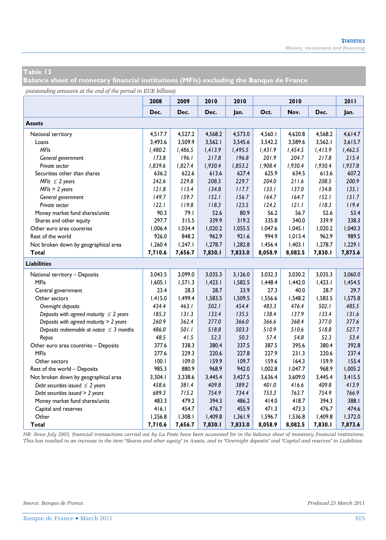**Balance sheet of monetary financial institutions (MFIs) excluding the Banque de France** 

*(outstanding amounts at the end of the period in EUR billions)*

|                                               | 2008    | 2009    | 2010    | 2010    |         | 2010    |         | 2011    |
|-----------------------------------------------|---------|---------|---------|---------|---------|---------|---------|---------|
|                                               | Dec.    | Dec.    | Dec.    | Jan.    | Oct.    | Nov.    | Dec.    | Jan.    |
| <b>Assets</b>                                 |         |         |         |         |         |         |         |         |
| National territory                            | 4,517.7 | 4,527.2 | 4,568.2 | 4,573.0 | 4,560.1 | 4,620.8 | 4,568.2 | 4,614.7 |
| Loans                                         | 3,493.6 | 3,509.9 | 3,562.1 | 3,545.6 | 3,542.2 | 3,589.6 | 3,562.1 | 3,615.7 |
| <b>MFIs</b>                                   | 1,480.2 | 1,486.5 | 1,413.9 | 1,495.5 | 1,431.9 | 1,454.5 | 1,413.9 | 1,462.5 |
| General government                            | 173.8   | 196.1   | 217.8   | 196.8   | 201.9   | 204.7   | 217.8   | 215.4   |
| Private sector                                | 1,839.6 | 1,827.4 | 1,930.4 | 1,853.2 | 1,908.4 | 1,930.4 | 1,930.4 | 1,937.8 |
| Securities other than shares                  | 636.2   | 622.6   | 613.6   | 627.4   | 625.9   | 634.5   | 613.6   | 607.2   |
| MFIs $\leq$ 2 years                           | 242.6   | 229.8   | 208.5   | 229.7   | 204.0   | 211.6   | 208.5   | 200.9   |
| $MFIs > 2$ years                              | 121.8   | 113.4   | 134.8   | 117.7   | 133.1   | 137.0   | 134.8   | 135.1   |
| General government                            | 149.7   | 159.7   | 152.1   | 156.7   | 164.7   | 164.7   | 152.1   | 151.7   |
| Private sector                                | 122.1   | 119.8   | 118.3   | 123.5   | 124.2   | 121.1   | 118.3   | 119.4   |
| Money market fund shares/units                | 90.3    | 79.1    | 52.6    | 80.9    | 56.2    | 56.7    | 52.6    | 53.4    |
| Shares and other equity                       | 297.7   | 315.5   | 339.9   | 319.2   | 335.8   | 340.0   | 339.9   | 338.3   |
| Other euro area countries                     | 1,006.4 | 1,034.4 | 1,020.2 | 1,055.5 | 1,047.6 | 1,045.1 | 1,020.2 | 1,040.3 |
| Rest of the world                             | 926.0   | 848.2   | 962.9   | 921.6   | 994.9   | 1,013.4 | 962.9   | 989.5   |
| Not broken down by geographical area          | 1,260.4 | 1,247.1 | 1,278.7 | 1,282.8 | 1,456.4 | 1,403.1 | 1,278.7 | 1,229.1 |
| Total                                         | 7,710.6 | 7,656.7 | 7,830.1 | 7,833.0 | 8,058.9 | 8,082.5 | 7,830.1 | 7,873.6 |
| <b>Liabilities</b>                            |         |         |         |         |         |         |         |         |
| National territory - Deposits                 | 3,043.5 | 3,099.0 | 3,035.3 | 3,126.0 | 3,032.3 | 3,030.2 | 3,035.3 | 3,060.0 |
| <b>MFIs</b>                                   | 1,605.1 | 1,571.3 | 1,423.1 | 1,582.5 | 1,448.4 | 1,442.0 | 1,423.1 | 1,454.5 |
| Central government                            | 23.4    | 28.3    | 28.7    | 33.9    | 27.3    | 40.0    | 28.7    | 29.7    |
| Other sectors                                 | 1,415.0 | 1,499.4 | 1,583.5 | 1,509.5 | 1,556.6 | 1,548.2 | 1,583.5 | 1,575.8 |
| Overnight deposits                            | 434.4   | 463.1   | 502.1   | 454.4   | 483.3   | 476.4   | 502.1   | 485.5   |
| Deposits with agreed maturity $\leq 2$ years  | 185.3   | 131.3   | 133.4   | 135.5   | 138.4   | 137.9   | 133.4   | 131.6   |
| Deposits with agreed maturity > 2 years       | 260.9   | 362.4   | 377.0   | 366.0   | 366.6   | 368.4   | 377.0   | 377.6   |
| Deposits redeemable at notice $\leq$ 3 months | 486.0   | 50 I.I  | 518.8   | 503.3   | 510.9   | 510.6   | 518.8   | 527.7   |
| Repos                                         | 48.5    | 41.5    | 52.3    | 50.3    | 57.4    | 54.8    | 52.3    | 53.4    |
| Other euro area countries - Deposits          | 377.6   | 338.3   | 380.4   | 337.5   | 387.5   | 395.6   | 380.4   | 392.8   |
| <b>MFIs</b>                                   | 277.6   | 229.3   | 220.6   | 227.8   | 227.9   | 231.3   | 220.6   | 237.4   |
| Other sectors                                 | 100.1   | 109.0   | 159.9   | 109.7   | 159.6   | 164.3   | 159.9   | 155.4   |
| Rest of the world - Deposits                  | 985.3   | 880.9   | 968.9   | 942.0   | 1,002.8 | 1,047.7 | 968.9   | 1,005.2 |
| Not broken down by geographical area          | 3,304.1 | 3,338.6 | 3,445.4 | 3,427.5 | 3,636.4 | 3,609.0 | 3,445.4 | 3,415.5 |
| Debt securities issued $\leq$ 2 years         | 458.6   | 381.4   | 409.8   | 389.2   | 401.0   | 416.6   | 409.8   | 413.9   |
| Debt securities issued > 2 years              | 689.3   | 715.2   | 754.9   | 734.4   | 753.3   | 763.7   | 754.9   | 766.9   |
| Money market fund shares/units                | 483.3   | 479.2   | 394.3   | 486.2   | 414.0   | 418.7   | 394.3   | 388.1   |
| Capital and reserves                          | 416.1   | 454.7   | 476.7   | 455.9   | 471.3   | 473.3   | 476.7   | 474.6   |
| Other                                         | 1,256.8 | 1,308.1 | 1,409.8 | 1,361.9 | 1,596.7 | 1,536.8 | 1,409.8 | 1,372.0 |
| Total                                         | 7,710.6 | 7,656.7 | 7,830.1 | 7,833.0 | 8,058.9 | 8,082.5 | 7,830.1 | 7,873.6 |

*NB: Since July 2003, financial transactions carried out by La Poste have been accounted for in the balance sheet of monetary financial institutions. This has resulted in an increase in the item "Shares and other equity" in Assets, and in "Overnight deposits" and "Capital and reserves" in Liabilities.*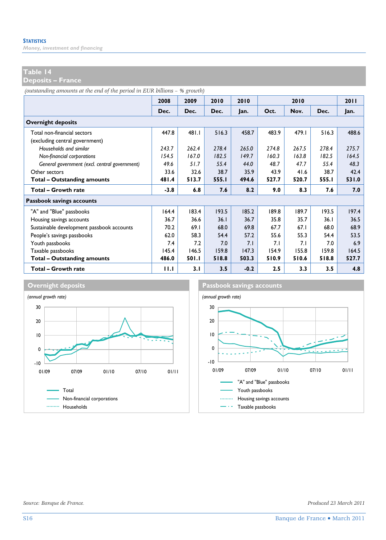*Money, investment and financing* 

#### **Table 14**

**Deposits – France** 

*(outstanding amounts at the end of the period in EUR billions – % growth)*

|                                               | 2008   | 2009   | 2010  | 2010   | 2010  |       |       | <b>2011</b> |
|-----------------------------------------------|--------|--------|-------|--------|-------|-------|-------|-------------|
|                                               | Dec.   | Dec.   | Dec.  | lan.   | Oct.  | Nov.  | Dec.  | Jan.        |
| <b>Overnight deposits</b>                     |        |        |       |        |       |       |       |             |
| Total non-financial sectors                   | 447.8  | 481.1  | 516.3 | 458.7  | 483.9 | 479.I | 516.3 | 488.6       |
| (excluding central government)                |        |        |       |        |       |       |       |             |
| Households and similar                        | 243.7  | 262.4  | 278.4 | 265.0  | 274.8 | 267.5 | 278.4 | 275.7       |
| Non-financial corporations                    | 154.5  | 167.0  | 182.5 | 149.7  | 160.3 | 163.8 | 182.5 | 164.5       |
| General government (excl. central government) | 49.6   | 51.7   | 55.4  | 44.0   | 48.7  | 47.7  | 55.4  | 48.3        |
| Other sectors                                 | 33.6   | 32.6   | 38.7  | 35.9   | 43.9  | 41.6  | 38.7  | 42.4        |
| <b>Total - Outstanding amounts</b>            | 481.4  | 513.7  | 555.I | 494.6  | 527.7 | 520.7 | 555.I | 531.0       |
| Total - Growth rate                           | $-3.8$ | 6.8    | 7.6   | 8.2    | 9.0   | 8.3   | 7.6   | 7.0         |
| Passbook savings accounts                     |        |        |       |        |       |       |       |             |
| "A" and "Blue" passbooks                      | 164.4  | 183.4  | 193.5 | 185.2  | 189.8 | 189.7 | 193.5 | 197.4       |
| Housing savings accounts                      | 36.7   | 36.6   | 36.1  | 36.7   | 35.8  | 35.7  | 36.1  | 36.5        |
| Sustainable development passbook accounts     | 70.2   | 69.1   | 68.0  | 69.8   | 67.7  | 67.1  | 68.0  | 68.9        |
| People's savings passbooks                    | 62.0   | 58.3   | 54.4  | 57.2   | 55.6  | 55.3  | 54.4  | 53.5        |
| Youth passbooks                               | 7.4    | 7.2    | 7.0   | 7.1    | 7.1   | 7.1   | 7.0   | 6.9         |
| Taxable passbooks                             | 145.4  | 146.5  | 159.8 | 147.3  | 154.9 | 155.8 | 159.8 | 164.5       |
| <b>Total - Outstanding amounts</b>            | 486.0  | 50 I.I | 518.8 | 503.3  | 510.9 | 510.6 | 518.8 | 527.7       |
| Total - Growth rate                           | 11.1   | 3.1    | 3.5   | $-0.2$ | 2.5   | 3.3   | 3.5   | 4.8         |



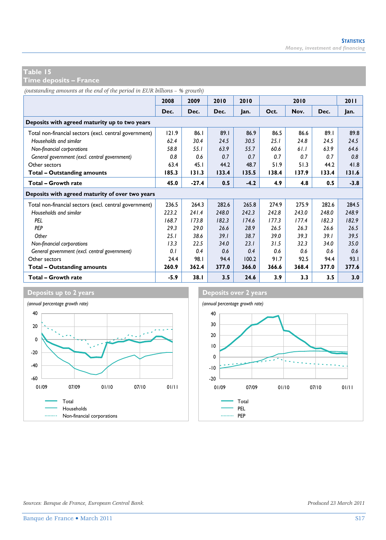**Time deposits – France** 

*(outstanding amounts at the end of the period in EUR billions – % growth)*

|                                                        | 2008   | 2009    | 2010  | 2010   | 2010  |       |       | 2011   |  |
|--------------------------------------------------------|--------|---------|-------|--------|-------|-------|-------|--------|--|
|                                                        | Dec.   | Dec.    | Dec.  | Jan.   | Oct.  | Nov.  | Dec.  | Jan.   |  |
| Deposits with agreed maturity up to two years          |        |         |       |        |       |       |       |        |  |
| Total non-financial sectors (excl. central government) | 121.9  | 86.1    | 89.1  | 86.9   | 86.5  | 86.6  | 89.1  | 89.8   |  |
| Households and similar                                 | 62.4   | 30.4    | 24.5  | 30.5   | 25.1  | 24.8  | 24.5  | 24.5   |  |
| Non-financial corporations                             | 58.8   | 55.1    | 63.9  | 55.7   | 60.6  | 61.1  | 63.9  | 64.6   |  |
| General government (excl. central government)          | 0.8    | 0.6     | 0.7   | 0.7    | 0.7   | 0.7   | 0.7   | 0.8    |  |
| Other sectors                                          | 63.4   | 45.1    | 44.2  | 48.7   | 51.9  | 51.3  | 44.2  | 41.8   |  |
| Total - Outstanding amounts                            | 185.3  | 131.3   | 133.4 | 135.5  | 138.4 | 137.9 | 133.4 | 131.6  |  |
| <b>Total - Growth rate</b>                             | 45.0   | $-27.4$ | 0.5   | $-4.2$ | 4.9   | 4.8   | 0.5   | $-3.8$ |  |
| Deposits with agreed maturity of over two years        |        |         |       |        |       |       |       |        |  |
| Total non-financial sectors (excl. central government) | 236.5  | 264.3   | 282.6 | 265.8  | 274.9 | 275.9 | 282.6 | 284.5  |  |
| Households and similar                                 | 223.2  | 241.4   | 248.0 | 242.3  | 242.8 | 243.0 | 248.0 | 248.9  |  |
| PEL                                                    | 168.7  | 173.8   | 182.3 | 174.6  | 177.3 | 177.4 | 182.3 | 182.9  |  |
| <b>PFP</b>                                             | 29.3   | 29.0    | 26.6  | 28.9   | 26.5  | 26.3  | 26.6  | 26.5   |  |
| Other                                                  | 25.1   | 38.6    | 39.1  | 38.7   | 39.0  | 39.3  | 39.1  | 39.5   |  |
| Non-financial corporations                             | 13.3   | 22.5    | 34.0  | 23.1   | 31.5  | 32.3  | 34.0  | 35.0   |  |
| General government (excl. central government)          | 0.1    | 0.4     | 0.6   | 0.4    | 0.6   | 0.6   | 0.6   | 0.6    |  |
| Other sectors                                          | 24.4   | 98.I    | 94.4  | 100.2  | 91.7  | 92.5  | 94.4  | 93.1   |  |
| Total - Outstanding amounts                            | 260.9  | 362.4   | 377.0 | 366.0  | 366.6 | 368.4 | 377.0 | 377.6  |  |
| Total - Growth rate                                    | $-5.9$ | 38.1    | 3.5   | 24.6   | 3.9   | 3.3   | 3.5   | 3.0    |  |



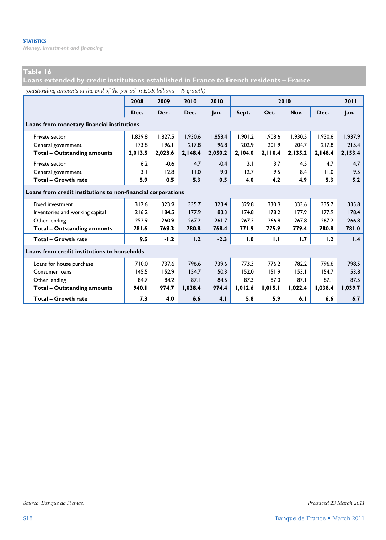*Money, investment and financing* 

#### **Table 16**

**Loans extended by credit institutions established in France to French residents – France** 

*(outstanding amounts at the end of the period in EUR billions – % growth)*

|                                                              | 2008    | 2009    | 2010    | 2010    |         |         | 2011    |         |         |
|--------------------------------------------------------------|---------|---------|---------|---------|---------|---------|---------|---------|---------|
|                                                              | Dec.    | Dec.    | Dec.    | Jan.    | Sept.   | Oct.    | Nov.    | Dec.    | Jan.    |
| Loans from monetary financial institutions                   |         |         |         |         |         |         |         |         |         |
| Private sector                                               | 1.839.8 | 1.827.5 | 1.930.6 | 1.853.4 | 1.901.2 | 1.908.6 | 1.930.5 | 1.930.6 | 1.937.9 |
| General government                                           | 173.8   | 196.1   | 217.8   | 196.8   | 202.9   | 201.9   | 204.7   | 217.8   | 215.4   |
| <b>Total - Outstanding amounts</b>                           | 2.013.5 | 2,023.6 | 2,148.4 | 2,050.2 | 2,104.0 | 2,110.4 | 2,135.2 | 2,148.4 | 2,153.4 |
| Private sector                                               | 6.2     | $-0.6$  | 4.7     | $-0.4$  | 3.1     | 3.7     | 4.5     | 4.7     | 4.7     |
| General government                                           | 3.1     | 12.8    | 11.0    | 9.0     | 12.7    | 9.5     | 8.4     | 11.0    | 9.5     |
| Total - Growth rate                                          | 5.9     | 0.5     | 5.3     | 0.5     | 4.0     | 4.2     | 4.9     | 5.3     | 5.2     |
| Loans from credit institutions to non-financial corporations |         |         |         |         |         |         |         |         |         |
| <b>Fixed investment</b>                                      | 312.6   | 323.9   | 335.7   | 323.4   | 329.8   | 330.9   | 333.6   | 335.7   | 335.8   |
| Inventories and working capital                              | 216.2   | 184.5   | 177.9   | 183.3   | 174.8   | 178.2   | 177.9   | 177.9   | 178.4   |
| Other lending                                                | 252.9   | 260.9   | 267.2   | 261.7   | 267.3   | 266.8   | 267.8   | 267.2   | 266.8   |
| <b>Total - Outstanding amounts</b>                           | 781.6   | 769.3   | 780.8   | 768.4   | 771.9   | 775.9   | 779.4   | 780.8   | 781.0   |
| Total - Growth rate                                          | 9.5     | $-1.2$  | 1.2     | $-2.3$  | 1.0     | 1.1     | 1.7     | 1.2     | 1.4     |
| Loans from credit institutions to households                 |         |         |         |         |         |         |         |         |         |
| Loans for house purchase                                     | 710.0   | 737.6   | 796.6   | 739.6   | 773.3   | 776.2   | 782.2   | 796.6   | 798.5   |
| Consumer loans                                               | 145.5   | 152.9   | 154.7   | 150.3   | 152.0   | 151.9   | 153.1   | 154.7   | 153.8   |
| Other lending                                                | 84.7    | 84.2    | 87.1    | 84.5    | 87.3    | 87.0    | 87.1    | 87.1    | 87.5    |
| <b>Total - Outstanding amounts</b>                           | 940.I   | 974.7   | 1,038.4 | 974.4   | 1,012.6 | 1,015.1 | 1,022.4 | 1,038.4 | 1,039.7 |
| Total - Growth rate                                          | 7.3     | 4.0     | 6.6     | 4.1     | 5.8     | 5.9     | 6.1     | 6.6     | 6.7     |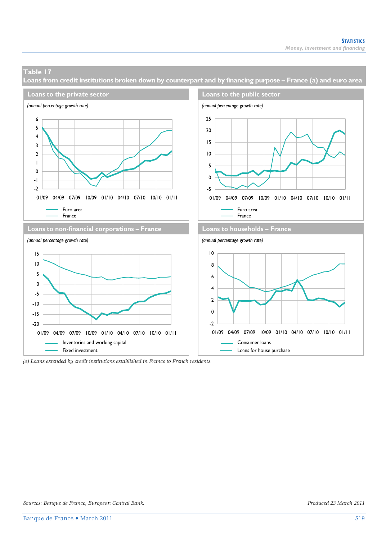**Loans from credit institutions broken down by counterpart and by financing purpose – France (a) and euro area** 



*<sup>(</sup>a) Loans extended by credit institutions established in France to French residents.*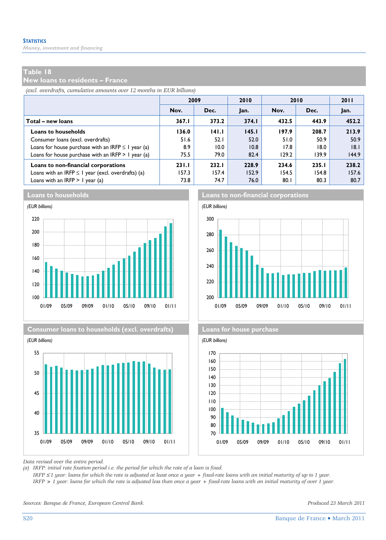*Money, investment and financing* 

#### **Table 18**

**New loans to residents – France** 

*(excl. overdrafts, cumulative amounts over 12 months in EUR billions)*

|                                                         | 2009  |       | 2010  | 2010  | 2011  |       |
|---------------------------------------------------------|-------|-------|-------|-------|-------|-------|
|                                                         | Nov.  | Dec.  | Jan.  | Nov.  | Dec.  | Jan.  |
| Total – new loans                                       | 367.1 | 373.2 | 374.1 | 432.5 | 443.9 | 452.2 |
| <b>Loans to households</b>                              | 136.0 | 141.1 | 145.1 | 197.9 | 208.7 | 213.9 |
| Consumer loans (excl. overdrafts)                       | 51.6  | 52.1  | 52.0  | 51.0  | 50.9  | 50.9  |
| Loans for house purchase with an IRFP $\leq$ 1 year (a) | 8.9   | 10.0  | 10.8  | 17.8  | 18.0  | 8.1   |
| Loans for house purchase with an IRFP $> 1$ year (a)    | 75.5  | 79.0  | 82.4  | 129.2 | 139.9 | 144.9 |
| Loans to non-financial corporations                     | 231.1 | 232.1 | 228.9 | 234.6 | 235.1 | 238.2 |
| Loans with an IRFP $\leq$ 1 year (excl. overdrafts) (a) | 157.3 | 157.4 | 152.9 | 154.5 | 154.8 | 157.6 |
| Loans with an IRFP $> 1$ year (a)                       | 73.8  | 74.7  | 76.0  | 80.1  | 80.3  | 80.7  |









**Loans to households Loans to non-financial corporations**





*Data revised over the entire period.* 

*(a) IRFP: initial rate fixation period i.e. the period for which the rate of a loan is fixed.* 

 *IRFP* ≤ *1 year: loans for which the rate is adjusted at least once a year + fixed-rate loans with an initial maturity of up to 1 year. IRFP > 1 year: loans for which the rate is adjusted less than once a year + fixed-rate loans with an initial maturity of over 1 year.* 

*Sources: Banque de France, European Central Bank. Produced 23 March 2011*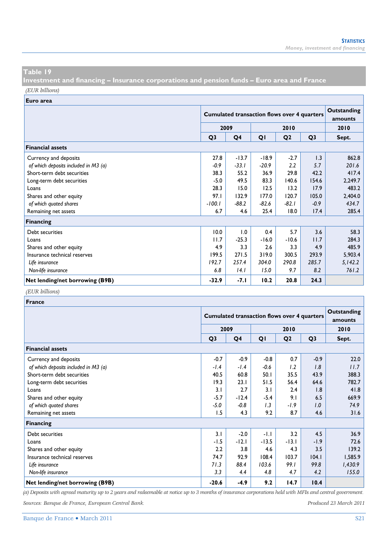**Investment and financing – Insurance corporations and pension funds – Euro area and France**  *(EUR billions)*

**Euro area**

|                                      |                | <b>Cumulated transaction flows over 4 quarters</b> | Outstanding<br>amounts |                |                |         |
|--------------------------------------|----------------|----------------------------------------------------|------------------------|----------------|----------------|---------|
|                                      | 2009<br>2010   |                                                    |                        |                | 2010           |         |
|                                      | Q <sub>3</sub> | Q <sub>4</sub>                                     | QI                     | Q <sub>2</sub> | Q <sub>3</sub> | Sept.   |
| <b>Financial assets</b>              |                |                                                    |                        |                |                |         |
| Currency and deposits                | 27.8           | $-13.7$                                            | $-18.9$                | $-2.7$         | 1.3            | 862.8   |
| of which deposits included in M3 (a) | $-0.9$         | $-33.1$                                            | $-20.9$                | 2.2            | 5.7            | 201.6   |
| Short-term debt securities           | 38.3           | 55.2                                               | 36.9                   | 29.8           | 42.2           | 417.4   |
| Long-term debt securities            | $-5.0$         | 49.5                                               | 83.3                   | 140.6          | 154.6          | 2,249.7 |
| Loans                                | 28.3           | 15.0                                               | 12.5                   | 13.2           | 17.9           | 483.2   |
| Shares and other equity              | 97.1           | 132.9                                              | 177.0                  | 120.7          | 105.0          | 2,404.0 |
| of which quoted shares               | $-100.1$       | $-88.2$                                            | $-82.6$                | $-82.1$        | $-0.9$         | 434.7   |
| Remaining net assets                 | 6.7            | 4.6                                                | 25.4                   | 18.0           | 17.4           | 285.4   |
| <b>Financing</b>                     |                |                                                    |                        |                |                |         |
| Debt securities                      | 10.0           | 0.1                                                | 0.4                    | 5.7            | 3.6            | 58.3    |
| Loans                                | 11.7           | $-25.3$                                            | $-16.0$                | $-10.6$        | 11.7           | 284.3   |
| Shares and other equity              | 4.9            | 3.3                                                | 2.6                    | 3.3            | 4.9            | 485.9   |
| Insurance technical reserves         | 199.5          | 271.5                                              | 319.0                  | 300.5          | 293.9          | 5,903.4 |
| Life insurance                       | 192.7          | 257.4                                              | 304.0                  | 290.8          | 285.7          | 5,142.2 |
| Non-life insurance                   | 6.8            | 14.1                                               | 15.0                   | 9.7            | 8.2            | 761.2   |
| Net lending/net borrowing (B9B)      | $-32.9$        | -7.1                                               | 10.2                   | 20.8           | 24.3           |         |

#### *(EUR billions)*

| France                               |                |                                                    |                        |                |                |         |
|--------------------------------------|----------------|----------------------------------------------------|------------------------|----------------|----------------|---------|
|                                      |                | <b>Cumulated transaction flows over 4 quarters</b> | Outstanding<br>amounts |                |                |         |
|                                      |                | 2009                                               |                        | 2010           |                |         |
|                                      | Q <sub>3</sub> | Q4                                                 | QI                     | Q <sub>2</sub> | Q <sub>3</sub> | Sept.   |
| <b>Financial assets</b>              |                |                                                    |                        |                |                |         |
| Currency and deposits                | $-0.7$         | $-0.9$                                             | $-0.8$                 | 0.7            | $-0.9$         | 22.0    |
| of which deposits included in M3 (a) | $-1.4$         | $-1.4$                                             | $-0.6$                 | 1.2            | 1.8            | 11.7    |
| Short-term debt securities           | 40.5           | 60.8                                               | 50.1                   | 35.5           | 43.9           | 388.3   |
| Long-term debt securities            | 19.3           | 23.1                                               | 51.5                   | 56.4           | 64.6           | 782.7   |
| Loans                                | 3.1            | 2.7                                                | 3.1                    | 2.4            | 1.8            | 41.8    |
| Shares and other equity              | $-5.7$         | $-12.4$                                            | $-5.4$                 | 9.1            | 6.5            | 669.9   |
| of which quoted shares               | $-5.0$         | $-0.8$                                             | 1.3                    | -1.9           | 1.0            | 74.9    |
| Remaining net assets                 | 1.5            | 4.3                                                | 9.2                    | 8.7            | 4.6            | 31.6    |
| Financing                            |                |                                                    |                        |                |                |         |
| Debt securities                      | 3.1            | $-2.0$                                             | $-1.1$                 | 3.2            | 4.5            | 36.9    |
| Loans                                | -1.5           | $-12.1$                                            | $-13.5$                | $-13.1$        | $-1.9$         | 72.6    |
| Shares and other equity              | 2.2            | 3.8                                                | 4.6                    | 4.3            | 3.5            | 139.2   |
| Insurance technical reserves         | 74.7           | 92.9                                               | 108.4                  | 103.7          | 104.1          | 1,585.9 |
| Life insurance                       | 71.3           | 88.4                                               | 103.6                  | 99.1           | 99.8           | 1,430.9 |
| Non-life insurance                   | 3.3            | 4.4                                                | 4.8                    | 4.7            | 4.2            | 155.0   |
| Net lending/net borrowing (B9B)      | $-20.6$        | $-4.9$                                             | 9.2                    | 14.7           | 10.4           |         |

*(a) Deposits with agreed maturity up to 2 years and redeemable at notice up to 3 months of insurance corporations held with MFIs and central government. Sources: Banque de France, European Central Bank. Produced 23 March 2011*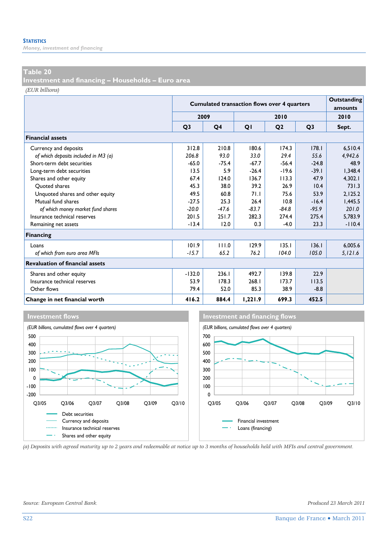*Money, investment and financing* 

#### **Table 20**

**Investment and financing – Households – Euro area** 

*(EUR billions)*

|                                        |                | <b>Cumulated transaction flows over 4 quarters</b> | Outstanding<br>amounts |                |                |          |
|----------------------------------------|----------------|----------------------------------------------------|------------------------|----------------|----------------|----------|
|                                        | 2009           |                                                    |                        | 2010           |                | 2010     |
|                                        | Q <sub>3</sub> | Q4                                                 | QI                     | Q <sub>2</sub> | Q <sub>3</sub> | Sept.    |
| <b>Financial assets</b>                |                |                                                    |                        |                |                |          |
| Currency and deposits                  | 312.8          | 210.8                                              | 180.6                  | 174.3          | 178.1          | 6.510.4  |
| of which deposits included in M3 (a)   | 206.8          | 93.0                                               | 33.0                   | 29.4           | 55.6           | 4,942.6  |
| Short-term debt securities             | $-65.0$        | $-75.4$                                            | $-67.7$                | $-56.4$        | $-24.8$        | 48.9     |
| Long-term debt securities              | 13.5           | 5.9                                                | $-26.4$                | $-19.6$        | $-39.1$        | 1.348.4  |
| Shares and other equity                | 67.4           | 124.0                                              | 136.7                  | 113.3          | 47.9           | 4.302.1  |
| Ouoted shares                          | 45.3           | 38.0                                               | 39.2                   | 26.9           | 10.4           | 731.3    |
| Unquoted shares and other equity       | 49.5           | 60.8                                               | 71.1                   | 75.6           | 53.9           | 2,125.2  |
| Mutual fund shares                     | $-27.5$        | 25.3                                               | 26.4                   | 10.8           | $-16.4$        | 1,445.5  |
| of which money market fund shares      | $-20.0$        | $-47.6$                                            | $-83.7$                | $-84.8$        | $-95.9$        | 201.0    |
| Insurance technical reserves           | 201.5          | 251.7                                              | 282.3                  | 274.4          | 275.4          | 5,783.9  |
| Remaining net assets                   | $-13.4$        | 12.0                                               | 0.3                    | $-4.0$         | 23.3           | $-110.4$ |
| <b>Financing</b>                       |                |                                                    |                        |                |                |          |
| Loans                                  | 101.9          | 111.0                                              | 129.9                  | 135.1          | 136.1          | 6,005.6  |
| of which from euro area MFIs           | $-15.7$        | 65.2                                               | 76.2                   | 104.0          | 105.0          | 5,121.6  |
| <b>Revaluation of financial assets</b> |                |                                                    |                        |                |                |          |
| Shares and other equity                | $-132.0$       | 236.1                                              | 492.7                  | 139.8          | 22.9           |          |
| Insurance technical reserves           | 53.9           | 178.3                                              | 268.1                  | 173.7          | 113.5          |          |
| Other flows                            | 79.4           | 52.0                                               | 85.3                   | 38.9           | $-8.8$         |          |
| Change in net financial worth          | 416.2          | 884.4                                              | 1,221.9                | 699.3          | 452.5          |          |







*(a) Deposits with agreed maturity up to 2 years and redeemable at notice up to 3 months of households held with MFIs and central government.*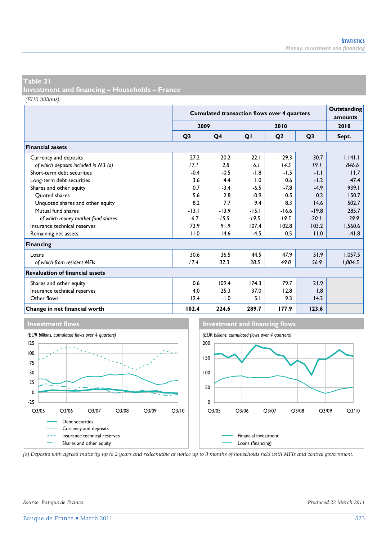**Investment and financing – Households – France** 

*(EUR billions)*

|                                        |                | <b>Cumulated transaction flows over 4 quarters</b> | Outstanding<br>amounts |                |                |         |
|----------------------------------------|----------------|----------------------------------------------------|------------------------|----------------|----------------|---------|
|                                        | 2009           |                                                    |                        | 2010           |                | 2010    |
|                                        | Q <sub>3</sub> | Q4                                                 | QI                     | Q <sub>2</sub> | Q <sub>3</sub> | Sept.   |
| <b>Financial assets</b>                |                |                                                    |                        |                |                |         |
| Currency and deposits                  | 27.2           | 20.2                                               | 22.1                   | 29.3           | 30.7           | 1.141.1 |
| of which deposits included in M3 (a)   | 17.1           | 2.8                                                | 6.1                    | 14.5           | 19.1           | 846.6   |
| Short-term debt securities             | $-0.4$         | $-0.5$                                             | -1.8                   | $-1.5$         | -1.1           | 11.7    |
| Long-term debt securities              | 3.6            | 4.4                                                | 1.0                    | 0.6            | $-1.2$         | 47.4    |
| Shares and other equity                | 0.7            | $-3.4$                                             | $-6.5$                 | $-7.8$         | $-4.9$         | 939.1   |
| Ouoted shares                          | 5.6            | 2.8                                                | $-0.9$                 | 0.5            | 0.3            | 150.7   |
| Unquoted shares and other equity       | 8.2            | 7.7                                                | 9.4                    | 8.3            | 14.6           | 502.7   |
| Mutual fund shares                     | $-13.1$        | $-13.9$                                            | $-15.1$                | $-16.6$        | $-19.8$        | 285.7   |
| of which money market fund shares      | $-6.7$         | $-15.5$                                            | $-19.5$                | $-19.5$        | $-20.1$        | 39.9    |
| Insurance technical reserves           | 73.9           | 91.9                                               | 107.4                  | 102.8          | 103.2          | 1,560.6 |
| Remaining net assets                   | 11.0           | 14.6                                               | $-4.5$                 | 0.5            | 11.0           | $-41.8$ |
| Financing                              |                |                                                    |                        |                |                |         |
| Loans                                  | 30.6           | 36.5                                               | 44.5                   | 47.9           | 51.9           | 1,057.5 |
| of which from resident MFIs            | 17.4           | 32.3                                               | 38.5                   | 49.0           | 56.9           | 1,004.5 |
| <b>Revaluation of financial assets</b> |                |                                                    |                        |                |                |         |
| Shares and other equity                | 0.6            | 109.4                                              | 174.3                  | 79.7           | 21.9           |         |
| Insurance technical reserves           | 4.0            | 25.3                                               | 37.0                   | 12.8           | 1.8            |         |
| Other flows                            | 12.4           | $-1.0$                                             | 5.1                    | 9.3            | 14.2           |         |
| Change in net financial worth          | 102.4          | 224.6                                              | 289.7                  | 177.9          | 123.6          |         |





*(a) Deposits with agreed maturity up to 2 years and redeemable at notice up to 3 months of households held with MFIs and central government.*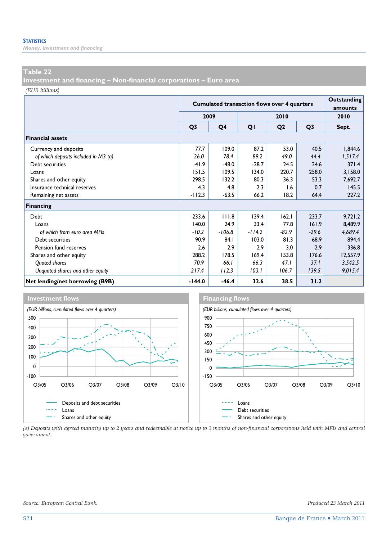*Money, investment and financing* 

#### **Table 22**

**Investment and financing – Non-financial corporations – Euro area** 

*(EUR billions)*

|                                      |                | <b>Cumulated transaction flows over 4 quarters</b> | Outstanding<br>amounts |                |                |          |
|--------------------------------------|----------------|----------------------------------------------------|------------------------|----------------|----------------|----------|
|                                      |                | 2009                                               |                        | 2010           |                | 2010     |
|                                      | Q <sub>3</sub> | Q4                                                 | QI                     | Q <sub>2</sub> | Q <sub>3</sub> | Sept.    |
| <b>Financial assets</b>              |                |                                                    |                        |                |                |          |
| Currency and deposits                | 77.7           | 109.0                                              | 87.2                   | 53.0           | 40.5           | 1,844.6  |
| of which deposits included in M3 (a) | 26.0           | 78.4                                               | 89.2                   | 49.0           | 44.4           | 1,517.4  |
| Debt securities                      | $-41.9$        | $-48.0$                                            | $-28.7$                | 24.5           | 24.6           | 371.4    |
| Loans                                | 151.5          | 109.5                                              | 134.0                  | 220.7          | 258.0          | 3,158.0  |
| Shares and other equity              | 298.5          | 132.2                                              | 80.3                   | 36.3           | 53.3           | 7,692.7  |
| Insurance technical reserves         | 4.3            | 4.8                                                | 2.3                    | 1.6            | 0.7            | 145.5    |
| Remaining net assets                 | $-112.3$       | $-63.5$                                            | 66.2                   | 18.2           | 64.4           | 227.2    |
| Financing                            |                |                                                    |                        |                |                |          |
| Debt                                 | 233.6          | 111.8                                              | 139.4                  | 162.1          | 233.7          | 9,721.2  |
| Loans                                | 140.0          | 24.9                                               | 33.4                   | 77.8           | 161.9          | 8,489.9  |
| of which from euro area MFIs         | $-10.2$        | $-106.8$                                           | $-114.2$               | $-82.9$        | $-29.6$        | 4,689.4  |
| Debt securities                      | 90.9           | 84.1                                               | 103.0                  | 81.3           | 68.9           | 894.4    |
| Pension fund reserves                | 2.6            | 2.9                                                | 2.9                    | 3.0            | 2.9            | 336.8    |
| Shares and other equity              | 288.2          | 178.5                                              | 169.4                  | 153.8          | 176.6          | 12,557.9 |
| Quoted shares                        | 70.9           | 66.I                                               | 66.3                   | 47.1           | 37.1           | 3,542.5  |
| Unquoted shares and other equity     | 217.4          | 112.3                                              | 103.1                  | 106.7          | 139.5          | 9,015.4  |
| Net lending/net borrowing (B9B)      | $-144.0$       | $-46.4$                                            | 32.6                   | 38.5           | 31.2           |          |



*(a) Deposits with agreed maturity up to 2 years and redeemable at notice up to 3 months of non-financial corporations held with MFIs and central government.*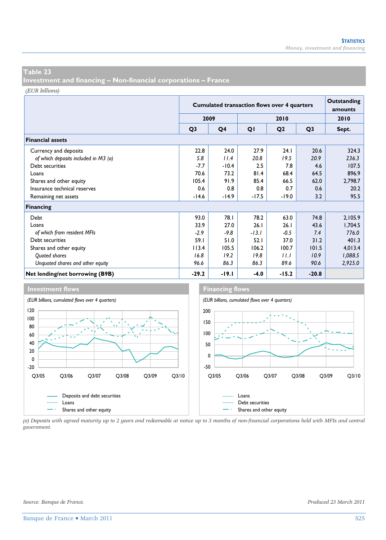**Investment and financing – Non-financial corporations – France** 

*(EUR billions)*

|                                      |                | <b>Cumulated transaction flows over 4 quarters</b> | Outstanding<br>amounts |                |                |         |
|--------------------------------------|----------------|----------------------------------------------------|------------------------|----------------|----------------|---------|
|                                      |                | 2009                                               |                        | 2010           |                |         |
|                                      | Q <sub>3</sub> | Q <sub>4</sub>                                     | QI                     | Q <sub>2</sub> | Q <sub>3</sub> | Sept.   |
| <b>Financial assets</b>              |                |                                                    |                        |                |                |         |
| Currency and deposits                | 22.8           | 24.0                                               | 27.9                   | 24.1           | 20.6           | 324.3   |
| of which deposits included in M3 (a) | 5.8            | 11.4                                               | 20.8                   | 19.5           | 20.9           | 236.3   |
| Debt securities                      | -7.7           | $-10.4$                                            | 2.5                    | 7.8            | 4.6            | 107.5   |
| Loans                                | 70.6           | 73.2                                               | 81.4                   | 68.4           | 64.5           | 896.9   |
| Shares and other equity              | 105.4          | 91.9                                               | 85.4                   | 66.5           | 62.0           | 2,798.7 |
| Insurance technical reserves         | 0.6            | 0.8                                                | 0.8                    | 0.7            | 0.6            | 20.2    |
| Remaining net assets                 | $-14.6$        | $-14.9$                                            | $-17.5$                | $-19.0$        | 3.2            | 95.5    |
| <b>Financing</b>                     |                |                                                    |                        |                |                |         |
| Debt                                 | 93.0           | 78.I                                               | 78.2                   | 63.0           | 74.8           | 2,105.9 |
| Loans                                | 33.9           | 27.0                                               | 26.1                   | 26.1           | 43.6           | 1,704.5 |
| of which from resident MFIs          | -2.9           | $-9.8$                                             | $-13.1$                | $-0.5$         | 7.4            | 776.0   |
| Debt securities                      | 59.I           | 51.0                                               | 52.1                   | 37.0           | 31.2           | 401.3   |
| Shares and other equity              | 113.4          | 105.5                                              | 106.2                  | 100.7          | 101.5          | 4,013.4 |
| Quoted shares                        | 16.8           | 19.2                                               | 19.8                   | 11.1           | 10.9           | 1,088.5 |
| Unguoted shares and other equity     | 96.6           | 86.3                                               | 86.3                   | 89.6           | 90.6           | 2,925.0 |
| Net lending/net borrowing (B9B)      | $-29.2$        | -19.1                                              | $-4.0$                 | $-15.2$        | $-20.8$        |         |





*(a) Deposits with agreed maturity up to 2 years and redeemable at notice up to 3 months of non-financial corporations held with MFIs and central government.*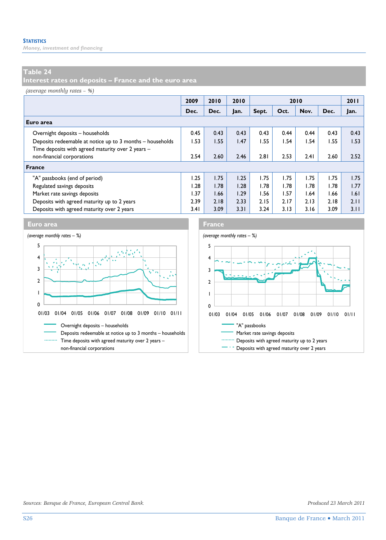*Money, investment and financing* 

#### **Table 24**

**Interest rates on deposits – France and the euro area** 

*(average monthly rates – %)*

|                                                           | 2009 | 2010 | 2010 |       |      | 2010 |      | 2011 |
|-----------------------------------------------------------|------|------|------|-------|------|------|------|------|
|                                                           | Dec. | Dec. | Jan. | Sept. | Oct. | Nov. | Dec. | Jan. |
| Euro area                                                 |      |      |      |       |      |      |      |      |
| Overnight deposits - households                           | 0.45 | 0.43 | 0.43 | 0.43  | 0.44 | 0.44 | 0.43 | 0.43 |
| Deposits redeemable at notice up to 3 months – households | 1.53 | 1.55 | 1.47 | I.55  | 1.54 | I.54 | 1.55 | 1.53 |
| Time deposits with agreed maturity over 2 years -         |      |      |      |       |      |      |      |      |
| non-financial corporations                                | 2.54 | 2.60 | 2.46 | 2.81  | 2.53 | 2.41 | 2.60 | 2.52 |
| <b>France</b>                                             |      |      |      |       |      |      |      |      |
| "A" passbooks (end of period)                             | 1.25 | 1.75 | 1.25 | 1.75  | 1.75 | 1.75 | 1.75 | 1.75 |
| Regulated savings deposits                                | 1.28 | 1.78 | 1.28 | l.78  | 1.78 | 1.78 | I.78 | 1.77 |
| Market rate savings deposits                              | 1.37 | 1.66 | 1.29 | I.56  | 1.57 | 1.64 | 1.66 | 1.61 |
| Deposits with agreed maturity up to 2 years               | 2.39 | 2.18 | 2.33 | 2.15  | 2.17 | 2.13 | 2.18 | 2.11 |
| Deposits with agreed maturity over 2 years                | 3.41 | 3.09 | 3.31 | 3.24  | 3.13 | 3.16 | 3.09 | 3.11 |



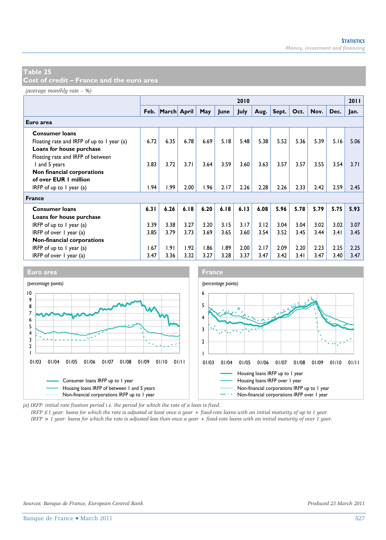**Cost of credit – France and the euro area** 

*(average monthly rate – %)*

|                                            |      |                  |      |      |      | 2010 |      |       |      |      |      | 2011 |
|--------------------------------------------|------|------------------|------|------|------|------|------|-------|------|------|------|------|
|                                            |      | Feb. March April |      | May  | June | July | Aug. | Sept. | Oct. | Nov. | Dec. | Jan. |
| Euro area                                  |      |                  |      |      |      |      |      |       |      |      |      |      |
| <b>Consumer loans</b>                      |      |                  |      |      |      |      |      |       |      |      |      |      |
| Floating rate and IRFP of up to 1 year (a) | 6.72 | 6.35             | 6.78 | 6.69 | 5.18 | 5.48 | 5.38 | 5.52  | 5.36 | 5.39 | 5.16 | 5.06 |
| Loans for house purchase                   |      |                  |      |      |      |      |      |       |      |      |      |      |
| Floating rate and IRFP of between          |      |                  |      |      |      |      |      |       |      |      |      |      |
| I and 5 years                              | 3.83 | 3.72             | 3.71 | 3.64 | 3.59 | 3.60 | 3.63 | 3.57  | 3.57 | 3.55 | 3.54 | 3.71 |
| Non financial corporations                 |      |                  |      |      |      |      |      |       |      |      |      |      |
| of over EUR 1 million                      |      |                  |      |      |      |      |      |       |      |      |      |      |
| IRFP of up to $I$ year (a)                 | 1.94 | 1.99             | 2.00 | 1.96 | 2.17 | 2.26 | 2.28 | 2.26  | 2.33 | 2.42 | 2.59 | 2.45 |
| <b>France</b>                              |      |                  |      |      |      |      |      |       |      |      |      |      |
| <b>Consumer loans</b>                      | 6.31 | 6.26             | 6.18 | 6.20 | 6.18 | 6.13 | 6.08 | 5.96  | 5.78 | 5.79 | 5.75 | 5.93 |
| Loans for house purchase                   |      |                  |      |      |      |      |      |       |      |      |      |      |
| IRFP of up to $\overline{I}$ year (a)      | 3.39 | 3.38             | 3.27 | 3.20 | 3.15 | 3.17 | 3.12 | 3.04  | 3.04 | 3.02 | 3.02 | 3.07 |
| IRFP of over $\vert$ year (a)              |      | 3.79             | 3.73 | 3.69 | 3.65 | 3.60 | 3.54 | 3.52  | 3.45 | 3.44 | 3.41 | 3.45 |
| Non-financial corporations                 |      |                  |      |      |      |      |      |       |      |      |      |      |
| IRFP of up to $\overline{I}$ year (a)      |      | 1.91             | 1.92 | 1.86 | 1.89 | 2.00 | 2.17 | 2.09  | 2.20 | 2.23 | 2.25 | 2.25 |
| IRFP of over 1 year (a)                    | 3.47 | 3.36             | 3.32 | 3.27 | 3.28 | 3.37 | 3.47 | 3.42  | 3.41 | 3.47 | 3.40 | 3.47 |



*(a) IRFP: initial rate fixation period i.e. the period for which the rate of a loan is fixed.* 

*IRFP* ≤ *1 year: loans for which the rate is adjusted at least once a year + fixed-rate loans with an initial maturity of up to 1 year.*

*IRFP > 1 year: loans for which the rate is adjusted less than once a year + fixed-rate loans with an initial maturity of over 1 year.*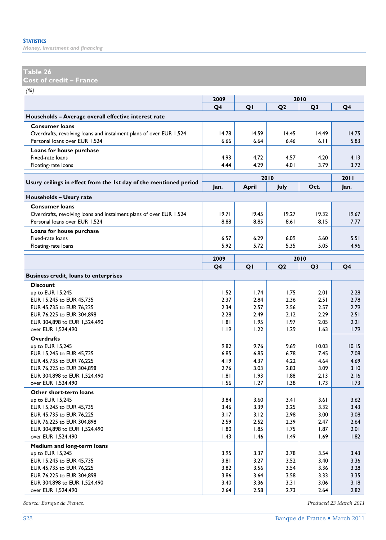*Money, investment and financing* 

#### **Table 26**

**Cost of credit – France** 

| × |
|---|
|---|

| $\langle \cdot, \cdot \rangle$                                     | 2009         |              |                |                |              |
|--------------------------------------------------------------------|--------------|--------------|----------------|----------------|--------------|
|                                                                    | Q4           | QI           | Q <sub>2</sub> | Q <sub>3</sub> | Q4           |
| Households - Average overall effective interest rate               |              |              |                |                |              |
| <b>Consumer loans</b>                                              |              |              |                |                |              |
| Overdrafts, revolving loans and instalment plans of over EUR 1,524 | 14.78        | 14.59        | 14.45          | 14.49          | 14.75        |
| Personal loans over EUR 1,524                                      | 6.66         | 6.64         | 6.46           | 6.11           | 5.83         |
| Loans for house purchase                                           |              |              |                |                |              |
| Fixed-rate loans                                                   | 4.93         | 4.72         | 4.57           | 4.20           | 4.13         |
| Floating-rate loans                                                | 4.44         | 4.29         | 4.01           | 3.79           | 3.72         |
|                                                                    |              | 2010         |                |                | 2011         |
| Usury ceilings in effect from the 1st day of the mentioned period  | Jan.         | April        | July           | Oct.           | Jan.         |
|                                                                    |              |              |                |                |              |
| Households - Usury rate                                            |              |              |                |                |              |
| <b>Consumer loans</b>                                              |              |              |                |                |              |
| Overdrafts, revolving loans and instalment plans of over EUR 1,524 | 19.71        | 19.45        | 19.27          | 19.32          | 19.67        |
| Personal loans over EUR 1,524                                      | 8.88         | 8.85         | 8.61           | 8.15           | 7.77         |
| Loans for house purchase                                           |              |              |                |                |              |
| Fixed-rate loans                                                   | 6.57         | 6.29         | 6.09           | 5.60           | 5.51         |
| Floating-rate loans                                                | 5.92         | 5.72         | 5.35           | 5.05           | 4.96         |
|                                                                    | 2009         | 2010         |                |                |              |
|                                                                    | Q4           | QI           | Q <sub>2</sub> | Q <sub>3</sub> | Q4           |
| <b>Business credit, loans to enterprises</b>                       |              |              |                |                |              |
| <b>Discount</b>                                                    |              |              |                |                |              |
| up to EUR 15,245                                                   | 1.52         | 1.74         | 1.75           | 2.01           | 2.28         |
| EUR 15,245 to EUR 45,735                                           | 2.37         | 2.84         | 2.36           | 2.51           | 2.78         |
| EUR 45,735 to EUR 76,225                                           | 2.34         | 2.57         | 2.56           | 2.57           | 2.79         |
| EUR 76,225 to EUR 304,898                                          | 2.28         | 2.49         | 2.12           | 2.29           | 2.51         |
| EUR 304,898 to EUR 1,524,490                                       | 1.81         | 1.95         | 1.97           | 2.05           | 2.21         |
| over EUR 1,524,490                                                 | 1.19         | 1.22         | 1.29           | 1.63           | 1.79         |
| <b>Overdrafts</b>                                                  |              |              |                |                |              |
| up to EUR 15,245                                                   | 9.82         | 9.76         | 9.69           | 10.03          | 10.15        |
| EUR 15,245 to EUR 45,735                                           | 6.85         | 6.85         | 6.78           | 7.45           | 7.08         |
| EUR 45,735 to EUR 76,225                                           | 4.19         | 4.37         | 4.22           | 4.64           | 4.69         |
| EUR 76,225 to EUR 304,898                                          | 2.76         | 3.03         | 2.83           | 3.09           | 3.10         |
| EUR 304,898 to EUR 1,524,490                                       | 1.81         | 1.93         | 1.88           | 2.13           | 2.16         |
| over EUR 1,524,490                                                 | 1.56         | 1.27         | 1.38           | 1.73           | 1.73         |
| Other short-term loans                                             |              |              |                |                |              |
| up to EUR 15,245                                                   | 3.84         | 3.60         | 3.41           | 3.61           | 3.62         |
| EUR 15,245 to EUR 45,735                                           | 3.46         | 3.39         | 3.25           | 3.32           | 3.43         |
| EUR 45,735 to EUR 76,225                                           | 3.17         | 3.12         | 2.98           | 3.00           | 3.08         |
| EUR 76,225 to EUR 304,898                                          | 2.59         | 2.52         | 2.39           | 2.47           | 2.64         |
| EUR 304,898 to EUR 1,524,490                                       | 1.80<br>1.43 | 1.85<br>1.46 | 1.75<br>1.49   | 1.87<br>1.69   | 2.01<br>1.82 |
| over EUR 1,524,490                                                 |              |              |                |                |              |
| Medium and long-term loans                                         |              |              |                |                |              |
| up to EUR 15,245                                                   | 3.95         | 3.37         | 3.78           | 3.54           | 3.43         |
| EUR 15,245 to EUR 45,735                                           | 3.81<br>3.82 | 3.27<br>3.56 | 3.52<br>3.54   | 3.40<br>3.36   | 3.36<br>3.28 |
| EUR 45,735 to EUR 76,225<br>EUR 76,225 to EUR 304,898              | 3.86         | 3.64         | 3.58           | 3.33           | 3.35         |
| EUR 304,898 to EUR 1,524,490                                       | 3.40         | 3.36         | 3.31           | 3.06           | 3.18         |
| over EUR 1,524,490                                                 | 2.64         | 2.58         | 2.73           | 2.64           | 2.82         |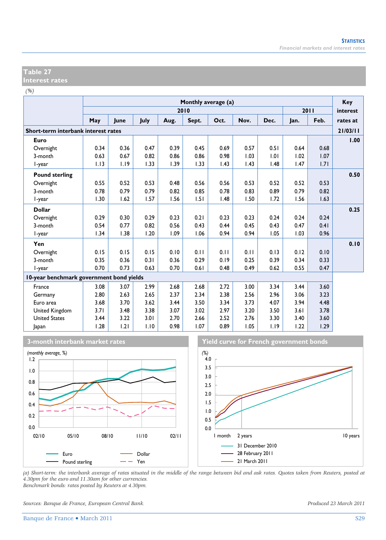#### **Table 27 Interest rates**

*(%)*

|                                          |      |      |      |      | Monthly average (a) |      |      |      |      |      | Key      |
|------------------------------------------|------|------|------|------|---------------------|------|------|------|------|------|----------|
|                                          |      |      |      |      | 2010                |      |      |      |      | 2011 | interest |
|                                          | May  | June | July | Aug. | Sept.               | Oct. | Nov. | Dec. | Jan. | Feb. | rates at |
| Short-term interbank interest rates      |      |      |      |      |                     |      |      |      |      |      | 21/03/11 |
| Euro                                     |      |      |      |      |                     |      |      |      |      |      | 1.00     |
| Overnight                                | 0.34 | 0.36 | 0.47 | 0.39 | 0.45                | 0.69 | 0.57 | 0.51 | 0.64 | 0.68 |          |
| 3-month                                  | 0.63 | 0.67 | 0.82 | 0.86 | 0.86                | 0.98 | 1.03 | 1.01 | 1.02 | 1.07 |          |
| I-year                                   | 1.13 | 1.19 | 1.33 | 1.39 | 1.33                | 1.43 | 1.43 | 1.48 | 1.47 | 1.71 |          |
| <b>Pound sterling</b>                    |      |      |      |      |                     |      |      |      |      |      | 0.50     |
| Overnight                                | 0.55 | 0.52 | 0.53 | 0.48 | 0.56                | 0.56 | 0.53 | 0.52 | 0.52 | 0.53 |          |
| 3-month                                  | 0.78 | 0.79 | 0.79 | 0.82 | 0.85                | 0.78 | 0.83 | 0.89 | 0.79 | 0.82 |          |
| l-year                                   | 1.30 | 1.62 | 1.57 | 1.56 | 1.51                | 1.48 | 1.50 | 1.72 | 1.56 | 1.63 |          |
| <b>Dollar</b>                            |      |      |      |      |                     |      |      |      |      |      | 0.25     |
| Overnight                                | 0.29 | 0.30 | 0.29 | 0.23 | 0.21                | 0.23 | 0.23 | 0.24 | 0.24 | 0.24 |          |
| 3-month                                  | 0.54 | 0.77 | 0.82 | 0.56 | 0.43                | 0.44 | 0.45 | 0.43 | 0.47 | 0.41 |          |
| I-year                                   | 1.34 | 1.38 | 1.20 | 1.09 | 1.06                | 0.94 | 0.94 | 1.05 | 1.03 | 0.96 |          |
| Yen                                      |      |      |      |      |                     |      |      |      |      |      | 0.10     |
| Overnight                                | 0.15 | 0.15 | 0.15 | 0.10 | 0.11                | 0.11 | 0.11 | 0.13 | 0.12 | 0.10 |          |
| 3-month                                  | 0.35 | 0.36 | 0.31 | 0.36 | 0.29                | 0.19 | 0.25 | 0.39 | 0.34 | 0.33 |          |
| l-year                                   | 0.70 | 0.73 | 0.63 | 0.70 | 0.61                | 0.48 | 0.49 | 0.62 | 0.55 | 0.47 |          |
| 10-year benchmark government bond yields |      |      |      |      |                     |      |      |      |      |      |          |
| France                                   | 3.08 | 3.07 | 2.99 | 2.68 | 2.68                | 2.72 | 3.00 | 3.34 | 3.44 | 3.60 |          |
| Germany                                  | 2.80 | 2.63 | 2.65 | 2.37 | 2.34                | 2.38 | 2.56 | 2.96 | 3.06 | 3.23 |          |
| Euro area                                | 3.68 | 3.70 | 3.62 | 3.44 | 3.50                | 3.34 | 3.73 | 4.07 | 3.94 | 4.48 |          |
| United Kingdom                           | 3.71 | 3.48 | 3.38 | 3.07 | 3.02                | 2.97 | 3.20 | 3.50 | 3.61 | 3.78 |          |
| <b>United States</b>                     | 3.44 | 3.22 | 3.01 | 2.70 | 2.66                | 2.52 | 2.76 | 3.30 | 3.40 | 3.60 |          |
| Japan                                    | 1.28 | 1.21 | 1.10 | 0.98 | 1.07                | 0.89 | 1.05 | 1.19 | 1.22 | 1.29 |          |





**3-month interbank market rates Theory of Times Theory of Times Theory is a strong verment bonds** 



*(a) Short-term: the interbank average of rates situated in the middle of the range between bid and ask rates. Quotes taken from Reuters, posted at 4.30pm for the euro and 11.30am for other currencies. Benchmark bonds: rates posted by Reuters at 4.30pm.* 

*Sources: Banque de France, European Central Bank. Produced 23 March 2011*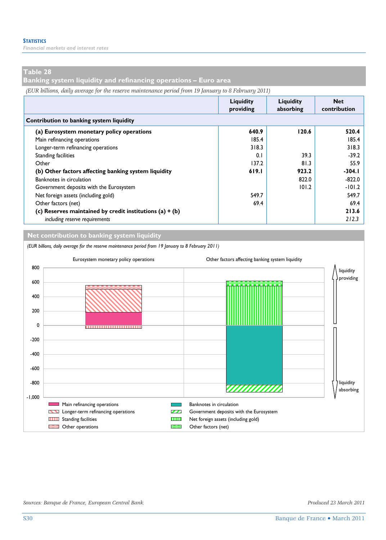*Financial markets and interest rates* 

#### **Table 28**

**Banking system liquidity and refinancing operations – Euro area** 

*(EUR billions, daily average for the reserve maintenance period from 19 January to 8 February 2011)*

|                                                            | Liquidity<br>providing | Liauidity<br>absorbing | <b>Net</b><br>contribution |  |  |  |  |  |  |  |
|------------------------------------------------------------|------------------------|------------------------|----------------------------|--|--|--|--|--|--|--|
| Contribution to banking system liquidity                   |                        |                        |                            |  |  |  |  |  |  |  |
| (a) Eurosystem monetary policy operations                  | 640.9                  | 120.6                  | 520.4                      |  |  |  |  |  |  |  |
| Main refinancing operations                                | 185.4                  |                        | 185.4                      |  |  |  |  |  |  |  |
| Longer-term refinancing operations                         | 318.3                  |                        | 318.3                      |  |  |  |  |  |  |  |
| <b>Standing facilities</b>                                 | 0.1                    | 39.3                   | $-39.2$                    |  |  |  |  |  |  |  |
| Other                                                      | 137.2                  | 81.3                   | 55.9                       |  |  |  |  |  |  |  |
| (b) Other factors affecting banking system liquidity       | 619.1                  | 923.2                  | $-304.1$                   |  |  |  |  |  |  |  |
| Banknotes in circulation                                   |                        | 822.0                  | $-822.0$                   |  |  |  |  |  |  |  |
| Government deposits with the Eurosystem                    |                        | 101.2                  | $-101.2$                   |  |  |  |  |  |  |  |
| Net foreign assets (including gold)                        | 549.7                  |                        | 549.7                      |  |  |  |  |  |  |  |
| Other factors (net)                                        | 69.4                   |                        | 69.4                       |  |  |  |  |  |  |  |
| (c) Reserves maintained by credit institutions $(a) + (b)$ |                        |                        | 213.6                      |  |  |  |  |  |  |  |
| including reserve requirements                             |                        |                        | 212.3                      |  |  |  |  |  |  |  |

**Net contribution to banking system liquidity**

*(EUR billions, daily average for the reserve maintenance period from 19 January to 8 February 2011)*



*Sources: Banque de France, European Central Bank. Produced 23 March 2011*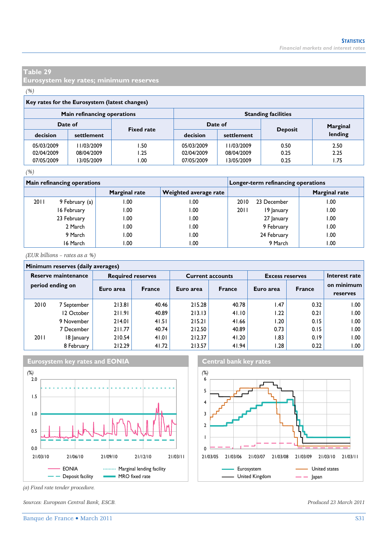**Eurosystem key rates; minimum reserves** 

#### *(%)*

| Key rates for the Eurosystem (latest changes) |                              |      |                                          |            |      |          |  |  |  |  |  |
|-----------------------------------------------|------------------------------|------|------------------------------------------|------------|------|----------|--|--|--|--|--|
|                                               | Main refinancing operations  |      | <b>Standing facilities</b>               |            |      |          |  |  |  |  |  |
|                                               | Date of<br><b>Fixed rate</b> |      | Date of                                  |            |      | Marginal |  |  |  |  |  |
| decision                                      | settlement                   |      | <b>Deposit</b><br>decision<br>settlement |            |      |          |  |  |  |  |  |
| 05/03/2009                                    | 11/03/2009                   | l.50 | 05/03/2009                               | 11/03/2009 | 0.50 | 2.50     |  |  |  |  |  |
| 02/04/2009                                    | 08/04/2009                   | l.25 | 02/04/2009                               | 08/04/2009 | 0.25 | 2.25     |  |  |  |  |  |
| 07/05/2009                                    | 13/05/2009                   | 0.00 | 07/05/2009                               | 13/05/2009 | 0.25 | 1.75     |  |  |  |  |  |

#### *(%)*

|      | <b>Main refinancing operations</b> |               | Longer-term refinancing operations |      |             |               |  |
|------|------------------------------------|---------------|------------------------------------|------|-------------|---------------|--|
|      |                                    | Marginal rate | Weighted average rate              |      |             | Marginal rate |  |
| 2011 | 9 February (a)                     | 1.00          | 00. ا                              | 2010 | 23 December | 00. ا         |  |
|      | 16 February                        | 00. ا         | 00.1                               | 2011 | 19 January  | .00           |  |
|      | 23 February                        | 1.00          | 00. ا                              |      | 27 January  | .00           |  |
|      | 2 March                            | 1.00          | 00.1                               |      | 9 February  | 00.1          |  |
|      | 9 March                            | 1.00          | 1.00                               |      | 24 February | 00. ا         |  |
|      | 16 March                           | 1.00          | 00.،                               |      | 9 March     | .00           |  |

*(EUR billions – rates as a %)*

#### **Minimum reserves (daily averages)**

| Reserve maintenance<br>period ending on |             |           | <b>Required reserves</b> |           | <b>Current accounts</b> | <b>Excess reserves</b> | Interest rate |                        |  |  |  |  |  |
|-----------------------------------------|-------------|-----------|--------------------------|-----------|-------------------------|------------------------|---------------|------------------------|--|--|--|--|--|
|                                         |             | Euro area | <b>France</b>            | Euro area | <b>France</b>           | Euro area              | <b>France</b> | on minimum<br>reserves |  |  |  |  |  |
| 2010                                    | 7 September | 213.81    | 40.46                    | 215.28    | 40.78                   | 1.47                   | 0.32          | 00. ا                  |  |  |  |  |  |
|                                         | 12 October  | 211.91    | 40.89                    | 213.13    | 41.10                   | 1.22                   | 0.21          | .00 ا                  |  |  |  |  |  |
|                                         | 9 November  | 214.01    | 41.51                    | 215.21    | 41.66                   | 1.20                   | 0.15          | 00.1                   |  |  |  |  |  |
|                                         | 7 December  | 211.77    | 40.74                    | 212.50    | 40.89                   | 0.73                   | 0.15          | 00. ا                  |  |  |  |  |  |
| 2011                                    | 18 January  | 210.54    | 41.01                    | 212.37    | 41.20                   | 1.83                   | 0.19          | ۔ 00. ا                |  |  |  |  |  |
|                                         | 8 February  | 212.29    | 41.72                    | 213.57    | 41.94                   | 1.28                   | 0.22          | ۔ 00. ا                |  |  |  |  |  |





*(a) Fixed rate tender procedure.* 

*Sources: European Central Bank, ESCB. Produced 23 March 2011*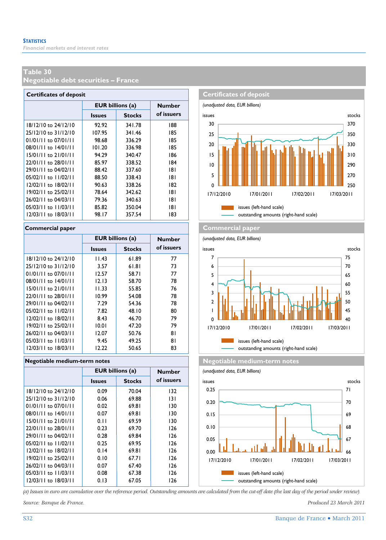**Negotiable debt securities – France** 

| <b>Certificates of deposit</b> |               |                         |               |  |  |  |  |  |  |  |
|--------------------------------|---------------|-------------------------|---------------|--|--|--|--|--|--|--|
|                                |               | <b>EUR billions (a)</b> | <b>Number</b> |  |  |  |  |  |  |  |
|                                | <b>Issues</b> | <b>Stocks</b>           | of issuers    |  |  |  |  |  |  |  |
| 18/12/10 to 24/12/10           | 92.92         | 341.78                  | 188           |  |  |  |  |  |  |  |
| 25/12/10 to 31/12/10           | 107.95        | 341.46                  | 185           |  |  |  |  |  |  |  |
| $01/01/11$ to $07/01/11$       | 98.68         | 336.29                  | 185           |  |  |  |  |  |  |  |
| 08/01/11 to 14/01/11           | 101.20        | 336.98                  | 185           |  |  |  |  |  |  |  |
| $15/01/11$ to $21/01/11$       | 94.29         | 340.47                  | 186           |  |  |  |  |  |  |  |
| 22/01/11 to 28/01/11           | 85.97         | 338.52                  | 184           |  |  |  |  |  |  |  |
| 29/01/11 to 04/02/11           | 88.42         | 337.60                  | 181           |  |  |  |  |  |  |  |
| 05/02/11 to 11/02/11           | 88.50         | 338.43                  | 181           |  |  |  |  |  |  |  |
| 12/02/11 to 18/02/11           | 90.63         | 338.26                  | 182           |  |  |  |  |  |  |  |
| 19/02/11 to 25/02/11           | 78.64         | 342.62                  | 181           |  |  |  |  |  |  |  |
| 26/02/11 to 04/03/11           | 79.36         | 340.63                  | 181           |  |  |  |  |  |  |  |
| 05/03/11 to 11/03/11           | 85.82         | 350.04                  | 181           |  |  |  |  |  |  |  |
| 12/03/11 to 18/03/11           | 98.I7         | 357.54                  | 183           |  |  |  |  |  |  |  |

|                          | <b>EUR</b> billions (a) |               | <b>Number</b> |
|--------------------------|-------------------------|---------------|---------------|
|                          | <b>Issues</b>           | <b>Stocks</b> | of issuers    |
| 18/12/10 to 24/12/10     | 11.43                   | 61.89         | 77            |
| 25/12/10 to 31/12/10     | 3.57                    | 61.81         | 73            |
| $01/01/11$ to $07/01/11$ | 12.57                   | 58.71         | 77            |
| 08/01/11 to 14/01/11     | 12.13                   | 58.70         | 78            |
| $15/01/11$ to $21/01/11$ | 11.33                   | 55.85         | 76            |
| 22/01/11 to 28/01/11     | 10.99                   | 54.08         | 78            |
| 29/01/11 to 04/02/11     | 7.29                    | 54.36         | 78            |
| 05/02/11 to 11/02/11     | 7.82                    | 48.10         | 80            |
| 12/02/11 to 18/02/11     | 8.43                    | 46.70         | 79            |
| 19/02/11 to 25/02/11     | 10.01                   | 47.20         | 79            |
| 26/02/11 to 04/03/11     | 12.07                   | 50.76         | 81            |
| 05/03/11 to 11/03/11     | 9.45                    | 49.25         | 81            |
| 12/03/11 to 18/03/11     | 12.22                   | 50.65         | 83            |

|                          | <b>EUR</b> billions (a) | <b>Number</b> |            |  |  |  |  |  |  |
|--------------------------|-------------------------|---------------|------------|--|--|--|--|--|--|
|                          | <b>Issues</b>           | <b>Stocks</b> | of issuers |  |  |  |  |  |  |
| $18/12/10$ to $24/12/10$ | 0.09                    | 70.04         | 132        |  |  |  |  |  |  |
| 25/12/10 to 31/12/10     | 0.06                    | 69.88         | 131        |  |  |  |  |  |  |
| $01/01/11$ to $07/01/11$ | 0.02                    | 69.81         | 130        |  |  |  |  |  |  |
| $08/01/11$ to $14/01/11$ | 0.07                    | 69.81         | 130        |  |  |  |  |  |  |
| $15/01/11$ to $21/01/11$ | 0.11                    | 69.59         | 130        |  |  |  |  |  |  |
| 22/01/11 to 28/01/11     | 0.23                    | 69.70         | 126        |  |  |  |  |  |  |
| 29/01/11 to 04/02/11     | 0.28                    | 69.84         | 126        |  |  |  |  |  |  |
| 05/02/11 to 11/02/11     | 0.25                    | 69.95         | 126        |  |  |  |  |  |  |
| 12/02/11 to 18/02/11     | 0.14                    | 69.81         | 126        |  |  |  |  |  |  |
| 19/02/11 to 25/02/11     | 0.10                    | 67.71         | 126        |  |  |  |  |  |  |
| 26/02/11 to 04/03/11     | 0.07                    | 67.40         | 126        |  |  |  |  |  |  |
| 05/03/11 to 11/03/11     | 0.08                    | 67.38         | 126        |  |  |  |  |  |  |
| $12/03/11$ to $18/03/11$ | 0.13                    | 67.05         | 126        |  |  |  |  |  |  |
|                          |                         |               |            |  |  |  |  |  |  |



#### **Commercial paper Commercial paper**

*(unadjusted data, EUR billions)*



outstanding amounts (right-hand scale)

**Negotiable medium-term notes Negotiable medium-term notes Negotiable medium-term notes** 

*(unadjusted data, EUR billions)*



*(a) Issues in euro are cumulative over the reference period. Outstanding amounts are calculated from the cut-off date (the last day of the period under review).*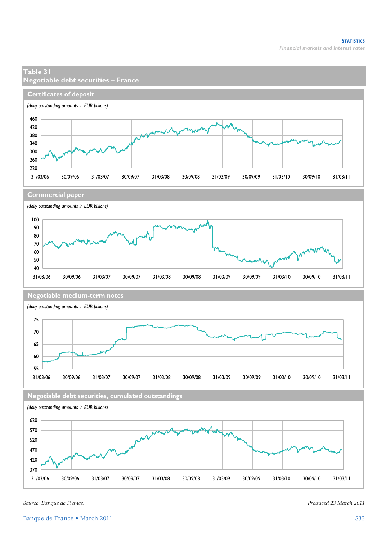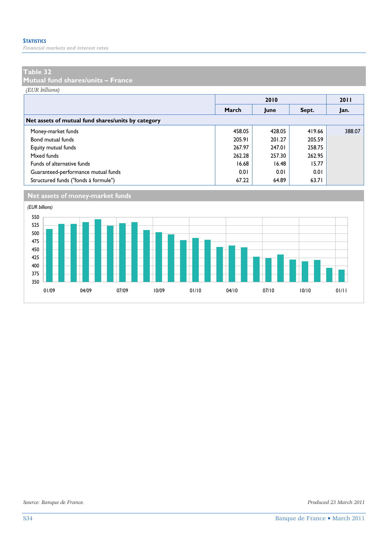*Financial markets and interest rates* 

#### **Table 32**

**Mutual fund shares/units – France** 

*(EUR billions)*

|                                                    |        |        | 2011   |        |
|----------------------------------------------------|--------|--------|--------|--------|
|                                                    | March  | June   | Sept.  | Jan.   |
| Net assets of mutual fund shares/units by category |        |        |        |        |
| Money-market funds                                 | 458.05 | 428.05 | 419.66 | 388.07 |
| Bond mutual funds                                  | 205.91 | 201.27 | 205.59 |        |
| Equity mutual funds                                | 267.97 | 247.01 | 258.75 |        |
| Mixed funds                                        | 262.28 | 257.30 | 262.95 |        |
| Funds of alternative funds                         | 16.68  | 16.48  | 15.77  |        |
| Guaranteed-performance mutual funds                | 0.01   | 0.01   | 0.01   |        |
| Structured funds ("fonds à formule")               | 67.22  | 64.89  | 63.71  |        |



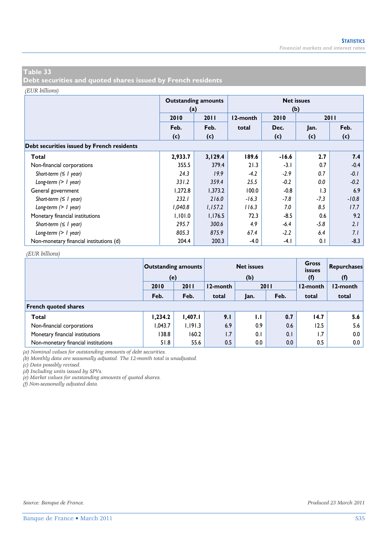**Debt securities and quoted shares issued by French residents** 

#### *(EUR billions)*

|                                            | (a)     | <b>Outstanding amounts</b> | <b>Net issues</b><br>(b) |         |        |         |  |  |  |  |  |
|--------------------------------------------|---------|----------------------------|--------------------------|---------|--------|---------|--|--|--|--|--|
|                                            | 2010    | 2011                       | 12-month                 | 2010    |        | 2011    |  |  |  |  |  |
|                                            | Feb.    | Feb.                       | total                    | Dec.    | Jan.   | Feb.    |  |  |  |  |  |
|                                            | (c)     | (c)                        |                          | (c)     | (c)    | (c)     |  |  |  |  |  |
| Debt securities issued by French residents |         |                            |                          |         |        |         |  |  |  |  |  |
| Total                                      | 2,933.7 | 3,129.4                    | 189.6                    | $-16.6$ | 2.7    | 7.4     |  |  |  |  |  |
| Non-financial corporations                 | 355.5   | 379.4                      | 21.3                     | $-3.1$  | 0.7    | $-0.4$  |  |  |  |  |  |
| Short-term $( \leq l$ year)                | 24.3    | 19.9                       | $-4.2$                   | $-2.9$  | 0.7    | $-0.1$  |  |  |  |  |  |
| Long-term $(> 1$ year)                     | 331.2   | 359.4                      | 25.5                     | $-0.2$  | 0.0    | $-0.2$  |  |  |  |  |  |
| General government                         | 1,272.8 | 1,373.2                    | 100.0                    | $-0.8$  | 1.3    | 6.9     |  |  |  |  |  |
| Short-term $( \leq l$ year)                | 232.1   | 216.0                      | $-16.3$                  | $-7.8$  | $-7.3$ | $-10.8$ |  |  |  |  |  |
| Long-term $(> 1$ year)                     | 1,040.8 | 1,157.2                    | 116.3                    | 7.0     | 8.5    | 17.7    |  |  |  |  |  |
| Monetary financial institutions            | 1,101.0 | 1,176.5                    | 72.3                     | $-8.5$  | 0.6    | 9.2     |  |  |  |  |  |
| Short-term $( \leq l$ year)                | 295.7   | 300.6                      | 4.9                      | $-6.4$  | $-5.8$ | 2.1     |  |  |  |  |  |
| Long-term $(> 1$ year)                     | 805.3   | 875.9                      | 67.4                     | $-2.2$  | 6.4    | 7.1     |  |  |  |  |  |
| Non-monetary financial institutions (d)    | 204.4   | 200.3                      | $-4.0$                   | $-4.1$  | 0.1    | $-8.3$  |  |  |  |  |  |

#### *(EUR billions)*

|                                     | <b>Outstanding amounts</b><br>(e) |         |          | <b>Net issues</b><br>(b) |      | <b>Gross</b><br><b>issues</b><br>(f) | Repurchases<br>(f) |  |
|-------------------------------------|-----------------------------------|---------|----------|--------------------------|------|--------------------------------------|--------------------|--|
|                                     | 2010                              | 2011    | 12-month | 2011                     |      | 12-month                             | 12-month           |  |
|                                     | Feb.                              | Feb.    | total    | Jan.                     | Feb. | total                                | total              |  |
| <b>French quoted shares</b>         |                                   |         |          |                          |      |                                      |                    |  |
| Total                               | 1,234.2                           | 1,407.1 | 9.1      | 1.1                      | 0.7  | 14.7                                 | 5.6                |  |
| Non-financial corporations          | 1.043.7                           | 1.191.3 | 6.9      | 0.9                      | 0.6  | 12.5                                 | 5.6                |  |
| Monetary financial institutions     | 138.8                             | 160.2   | 1.7      | 0.1                      | 0.1  | 1.7                                  | 0.0                |  |
| Non-monetary financial institutions | 51.8                              | 55.6    | 0.5      | 0.0                      | 0.0  | 0.5                                  | 0.0                |  |

*(a) Nominal values for outstanding amounts of debt securities.* 

*(b) Monthly data are seasonally adjusted. The 12-month total is unadjusted.* 

*(c) Data possibly revised.* 

*(d) Including units issued by SPVs.* 

*(e) Market values for outstanding amounts of quoted shares.* 

*(f) Non-seasonally adjusted data.*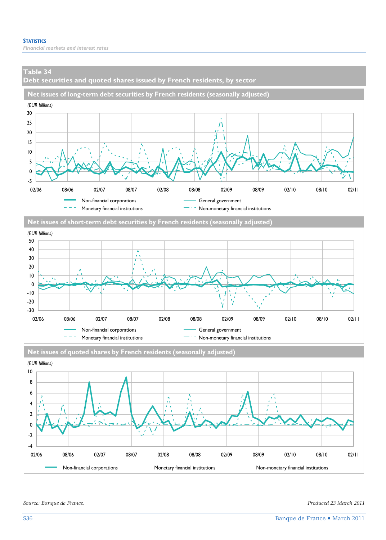**Debt securities and quoted shares issued by French residents, by sector** 







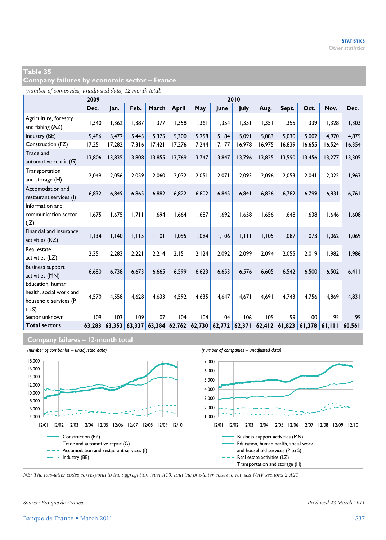| Company failures by economic sector – France |  |
|----------------------------------------------|--|
|----------------------------------------------|--|

*(number of companies, unadjusted data, 12-month total)*

|                                                                               | 2009   |        | 2010   |        |              |        |                            |        |        |        |        |        |        |
|-------------------------------------------------------------------------------|--------|--------|--------|--------|--------------|--------|----------------------------|--------|--------|--------|--------|--------|--------|
|                                                                               | Dec.   | Jan.   | Feb.   | March  | <b>April</b> | May    | June                       | July   | Aug.   | Sept.  | Oct.   | Nov.   | Dec.   |
| Agriculture, forestry<br>and fishing (AZ)                                     | 1,340  | 1,362  | 1,387  | 1,377  | 1,358        | 1,361  | 1,354                      | 1,351  | 1,351  | 1,355  | 1,339  | 1,328  | 1,303  |
| Industry (BE)                                                                 | 5,486  | 5.472  | 5,445  | 5.375  | 5.300        | 5,258  | 5,184                      | 5,091  | 5.083  | 5.030  | 5,002  | 4.970  | 4,875  |
| Construction (FZ)                                                             | 17,251 | 17,282 | 17,316 | 17,421 | 17,276       | 17,244 | 17,177                     | 16,978 | 16,975 | 16,839 | 16,655 | 16,524 | 16,354 |
| Trade and<br>automotive repair (G)                                            | 13,806 | 13,835 | 13,808 | 13,855 | 13,769       | 13,747 | 13,847                     | 13,796 | 13,825 | 13,590 | 13,456 | 13,277 | 13,305 |
| Transportation<br>and storage (H)                                             | 2,049  | 2,056  | 2,059  | 2,060  | 2,032        | 2,051  | 2,071                      | 2,093  | 2,096  | 2,053  | 2,041  | 2,025  | 1,963  |
| Accomodation and<br>restaurant services (I)                                   | 6,832  | 6.849  | 6.865  | 6.882  | 6.822        | 6.802  | 6.845                      | 6,841  | 6.826  | 6.782  | 6.799  | 6,831  | 6,761  |
| Information and<br>communication sector<br>(1Z)                               | 1,675  | 1,675  | 1,711  | 1.694  | 1,664        | 1,687  | 1,692                      | 1,658  | 1,656  | 1,648  | 1,638  | 1,646  | 1,608  |
| Financial and insurance<br>activities (KZ)                                    | 1,134  | 1,140  | 1,115  | 1,101  | 1,095        | 1,094  | 1,106                      | 1,111  | 1,105  | 1,087  | 1,073  | 1,062  | 1,069  |
| Real estate<br>activities (LZ)                                                | 2,351  | 2.283  | 2.221  | 2.214  | 2.151        | 2.124  | 2.092                      | 2.099  | 2.094  | 2.055  | 2.019  | 1.982  | 1,986  |
| <b>Business support</b><br>activities (MN)                                    | 6,680  | 6.738  | 6.673  | 6.665  | 6,599        | 6,623  | 6.653                      | 6,576  | 6.605  | 6,542  | 6,500  | 6,502  | 6,411  |
| Education, human<br>health, social work and<br>household services (P<br>to S) | 4,570  | 4,558  | 4,628  | 4,633  | 4,592        | 4,635  | 4.647                      | 4,671  | 4.691  | 4.743  | 4,756  | 4,869  | 4,831  |
| Sector unknown                                                                | 109    | 103    | 109    | 107    | 104          | 104    | 104                        | 106    | 105    | 99     | 100    | 95     | 95     |
| <b>Total sectors</b>                                                          | 63.283 | 63.353 | 63.337 | 63,384 |              |        | $62,762$ $62,730$ $62,772$ | 62,371 | 62,412 | 61,823 | 61.378 | 61.111 | 60.561 |

#### **Company failures – 12-month total**



*NB: The two-letter codes correspond to the aggregation level A10, and the one-letter codes to revised NAF sections 2 A21.*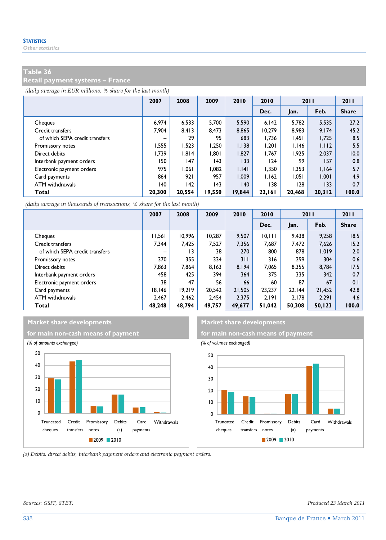#### **Retail payment systems – France**

*(daily average in EUR millions, % share for the last month)*

|                                | 2007   | 2008   | 2009   | 2010   | 2010   | 2011   |        | 2011         |
|--------------------------------|--------|--------|--------|--------|--------|--------|--------|--------------|
|                                |        |        |        |        | Dec.   | Jan.   | Feb.   | <b>Share</b> |
| Cheques                        | 6.974  | 6.533  | 5.700  | 5,590  | 6.142  | 5.782  | 5,535  | 27.2         |
| Credit transfers               | 7.904  | 8.413  | 8.473  | 8.865  | 10.279 | 8.983  | 9.174  | 45.2         |
| of which SEPA credit transfers | -      | 29     | 95     | 683    | 1.736  | 1,451  | 1,725  | 8.5          |
| Promissory notes               | 1,555  | 1,523  | 1.250  | 1,138  | 1,201  | 1,146  | 1,112  | 5.5          |
| Direct debits                  | 1.739  | 1.814  | 1.801  | 1,827  | 1.767  | 1.925  | 2,037  | 10.0         |
| Interbank payment orders       | 150    | 147    | 143    | 133    | 124    | 99     | 157    | 0.8          |
| Electronic payment orders      | 975    | 1.061  | 1.082  | 1.141  | 1.350  | 1,353  | 1.164  | 5.7          |
| Card payments                  | 864    | 921    | 957    | 1.009  | 1.162  | 1.051  | 1,001  | 4.9          |
| ATM withdrawals                | 140    | 142    | 143    | 140    | 138    | 128    | 133    | 0.7          |
| Total                          | 20.300 | 20.554 | 19,550 | 19,844 | 22.161 | 20.468 | 20,312 | 100.0        |

*(daily average in thousands of transactions, % share for the last month)*

|                                | 2007   | 2008   | 2009   | 2010   | 2010    | 2011   |        | 2011         |
|--------------------------------|--------|--------|--------|--------|---------|--------|--------|--------------|
|                                |        |        |        |        | Dec.    | Jan.   | Feb.   | <b>Share</b> |
| Cheques                        | 11,561 | 10,996 | 10,287 | 9,507  | 10, 111 | 9.438  | 9,258  | 18.5         |
| Credit transfers               | 7.344  | 7.425  | 7.527  | 7.356  | 7.687   | 7,472  | 7,626  | 15.2         |
| of which SEPA credit transfers |        | 13     | 38     | 270    | 800     | 878    | 1.019  | 2.0          |
| Promissory notes               | 370    | 355    | 334    | 311    | 316     | 299    | 304    | 0.6          |
| Direct debits                  | 7.863  | 7.864  | 8.163  | 8.194  | 7.065   | 8.355  | 8.784  | 17.5         |
| Interbank payment orders       | 458    | 425    | 394    | 364    | 375     | 335    | 342    | 0.7          |
| Electronic payment orders      | 38     | 47     | 56     | 66     | 60      | 87     | 67     | 0.1          |
| Card payments                  | 18.146 | 19.219 | 20.542 | 21.505 | 23,237  | 22.144 | 21.452 | 42.8         |
| ATM withdrawals                | 2.467  | 2.462  | 2.454  | 2.375  | 2.191   | 2.178  | 2.291  | 4.6          |
| Total                          | 48,248 | 48.794 | 49,757 | 49,677 | 51.042  | 50.308 | 50,123 | 100.0        |





*(a) Debits: direct debits, interbank payment orders and electronic payment orders.* 

2009 2010

*Sources: GSIT, STET. Produced 23 March 2011*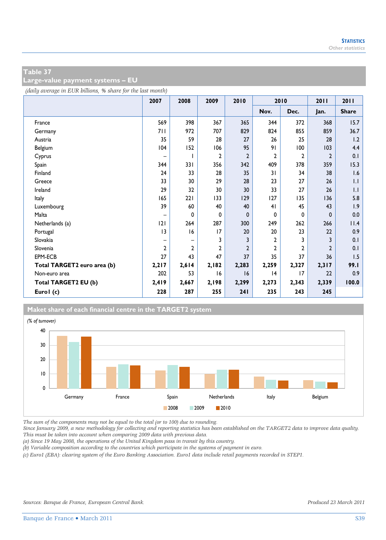**Large-value payment systems – EU** 

*(daily average in EUR billions, % share for the last month)*

|                             | 2007           | 2008           | 2009         | 2010           | 2010           |                | 2011           | 2011         |
|-----------------------------|----------------|----------------|--------------|----------------|----------------|----------------|----------------|--------------|
|                             |                |                |              |                | Nov.           | Dec.           | Jan.           | <b>Share</b> |
| France                      | 569            | 398            | 367          | 365            | 344            | 372            | 368            | 15.7         |
| Germany                     | 71 I           | 972            | 707          | 829            | 824            | 855            | 859            | 36.7         |
| Austria                     | 35             | 59             | 28           | 27             | 26             | 25             | 28             | 1.2          |
| Belgium                     | 104            | 152            | 106          | 95             | 91             | 100            | 103            | 4.4          |
| Cyprus                      | -              |                | 2            | $\overline{2}$ | $\overline{2}$ | $\mathbf{2}$   | $\overline{2}$ | 0.1          |
| Spain                       | 344            | 331            | 356          | 342            | 409            | 378            | 359            | 15.3         |
| Finland                     | 24             | 33             | 28           | 35             | 31             | 34             | 38             | 1.6          |
| Greece                      | 33             | 30             | 29           | 28             | 23             | 27             | 26             | $\mathsf{L}$ |
| Ireland                     | 29             | 32             | 30           | 30             | 33             | 27             | 26             | $\mathsf{L}$ |
| Italy                       | 165            | 221            | 133          | 129            | 127            | 135            | 136            | 5.8          |
| Luxembourg                  | 39             | 60             | 40           | 40             | 41             | 45             | 43             | 1.9          |
| Malta                       | -              | 0              | 0            | 0              | 0              | 0              | $\mathbf{0}$   | 0.0          |
| Netherlands (a)             | 2              | 264            | 287          | 300            | 249            | 262            | 266            | 11.4         |
| Portugal                    | 3              | 16             | 17           | 20             | 20             | 23             | 22             | 0.9          |
| Slovakia                    |                |                | 3            | 3              | $\overline{2}$ | 3              | 3              | 0.1          |
| Slovenia                    | $\overline{2}$ | $\overline{2}$ | $\mathbf{c}$ | $\overline{2}$ | $\overline{2}$ | $\overline{2}$ | $\overline{2}$ | 0.1          |
| EPM-ECB                     | 27             | 43             | 47           | 37             | 35             | 37             | 36             | 1.5          |
| Total TARGET2 euro area (b) | 2,217          | 2,614          | 2,182        | 2,283          | 2,259          | 2,327          | 2,317          | 99.I         |
| Non-euro area               | 202            | 53             | 16           | 16             | 4              | 17             | 22             | 0.9          |
| Total TARGET2 EU (b)        | 2,419          | 2,667          | 2,198        | 2,299          | 2,273          | 2,343          | 2,339          | 100.0        |
| Eurol (c)                   | 228            | 287            | 255          | 241            | 235            | 243            | 245            |              |

#### **Maket share of each financial centre in the TARGET2 system**



*The sum of the components may not be equal to the total (or to 100) due to rounding.* 

*Since January 2009, a new methodology for collecting and reporting statistics has been established on the TARGET2 data to improve data quality. This must be taken into account when comparing 2009 data with previous data.* 

*(a) Since 19 May 2008, the operations of the United Kingdom pass in transit by this country.* 

*(b) Variable composition according to the countries which participate in the systems of payment in euro.* 

*(c) Euro1 (EBA): clearing system of the Euro Banking Association. Euro1 data include retail payments recorded in STEP1.*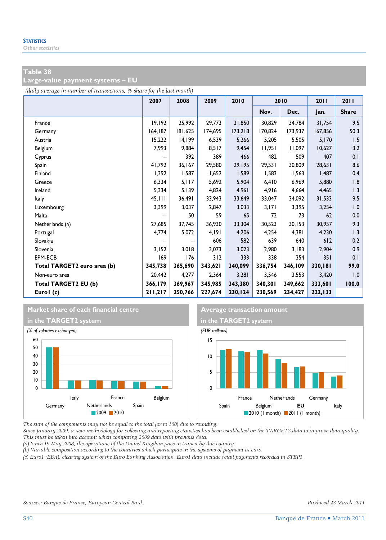**Large-value payment systems – EU** 

*(daily average in number of transactions, % share for the last month)*

|                             | 2007    | 2008    | 2009    | 2010    | 2010    |         | 2011    | 2011         |
|-----------------------------|---------|---------|---------|---------|---------|---------|---------|--------------|
|                             |         |         |         |         | Nov.    | Dec.    | Jan.    | <b>Share</b> |
| France                      | 19,192  | 25,992  | 29,773  | 31,850  | 30,829  | 34,784  | 31,754  | 9.5          |
| Germany                     | 164,187 | 181,625 | 174,695 | 173,218 | 170,824 | 173,937 | 167,856 | 50.3         |
| Austria                     | 15,222  | 14,199  | 6,539   | 5,266   | 5,205   | 5,505   | 5,170   | 1.5          |
| Belgium                     | 7,993   | 9,884   | 8,517   | 9,454   | 11,951  | 11,097  | 10,627  | 3.2          |
| Cyprus                      |         | 392     | 389     | 466     | 482     | 509     | 407     | 0.1          |
| Spain                       | 41,792  | 36,167  | 29,580  | 29,195  | 29,531  | 30,809  | 28,631  | 8.6          |
| Finland                     | 1,392   | 1,587   | 1,652   | 1,589   | 1,583   | 1,563   | 1,487   | 0.4          |
| Greece                      | 6,334   | 5,117   | 5,692   | 5,904   | 6,410   | 6,969   | 5,880   | 1.8          |
| Ireland                     | 5,334   | 5,139   | 4,824   | 4,961   | 4,916   | 4,664   | 4,465   | 1.3          |
| Italy                       | 45,111  | 36,491  | 33,943  | 33,649  | 33,047  | 34,092  | 31,533  | 9.5          |
| Luxembourg                  | 3,399   | 3,037   | 2,847   | 3,033   | 3,171   | 3,395   | 3,254   | 1.0          |
| Malta                       |         | 50      | 59      | 65      | 72      | 73      | 62      | 0.0          |
| Netherlands (a)             | 27,685  | 37,745  | 36,930  | 33,304  | 30,523  | 30,153  | 30,957  | 9.3          |
| Portugal                    | 4,774   | 5,072   | 4,191   | 4,206   | 4,254   | 4,381   | 4,230   | 1.3          |
| Slovakia                    |         |         | 606     | 582     | 639     | 640     | 612     | 0.2          |
| Slovenia                    | 3,152   | 3,018   | 3,073   | 3,023   | 2,980   | 3,183   | 2,904   | 0.9          |
| EPM-ECB                     | 169     | 176     | 312     | 333     | 338     | 354     | 351     | 0.1          |
| Total TARGET2 euro area (b) | 345,738 | 365,690 | 343,621 | 340,099 | 336,754 | 346,109 | 330,181 | 99.0         |
| Non-euro area               | 20,442  | 4,277   | 2,364   | 3,281   | 3,546   | 3,553   | 3,420   | 1.0          |
| Total TARGET2 EU (b)        | 366,179 | 369,967 | 345,985 | 343,380 | 340,301 | 349,662 | 333,601 | 100.0        |
| Eurol (c)                   | 211,217 | 250,766 | 227,674 | 230,124 | 230,569 | 234,427 | 222,133 |              |

#### **Market share of each financial centre Average transaction amount**





*The sum of the components may not be equal to the total (or to 100) due to rounding.* 

*Since January 2009, a new methodology for collecting and reporting statistics has been established on the TARGET2 data to improve data quality. This must be taken into account when comparing 2009 data with previous data.* 

*(a) Since 19 May 2008, the operations of the United Kingdom pass in transit by this country.* 

*(b) Variable composition according to the countries which participate in the systems of payment in euro.* 

*(c) Euro1 (EBA): clearing system of the Euro Banking Association. Euro1 data include retail payments recorded in STEP1.*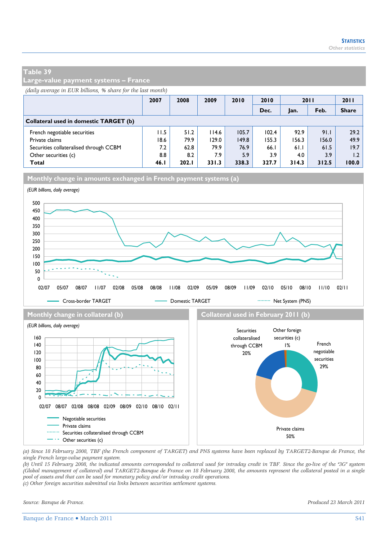**Large-value payment systems – France** 

*(daily average in EUR billions, % share for the last month)*

|                                        | 2007 | 2008  | 2009  | 2010  | 2010  | 2011  |       | 2011         |
|----------------------------------------|------|-------|-------|-------|-------|-------|-------|--------------|
|                                        |      |       |       |       | Dec.  | Jan.  | Feb.  | <b>Share</b> |
| Collateral used in domestic TARGET (b) |      |       |       |       |       |       |       |              |
| French negotiable securities           | 11.5 | 51.2  | 114.6 | 105.7 | 102.4 | 92.9  | 91.1  | 29.2         |
| Private claims                         | 18.6 | 79.9  | 129.0 | 149.8 | 155.3 | 156.3 | 156.0 | 49.9         |
| Securities collateralised through CCBM | 7.2  | 62.8  | 79.9  | 76.9  | 66.1  | 61.1  | 61.5  | 19.7         |
| Other securities (c)                   | 8.8  | 8.2   | 7.9   | 5.9   | 3.9   | 4.0   | 3.9   | 1.2          |
| Total                                  | 46.1 | 202.1 | 331.3 | 338.3 | 327.7 | 314.3 | 312.5 | 100.0        |

**Monthly change in amounts exchanged in French payment systems (a)**



*(a) Since 18 February 2008, TBF (the French component of TARGET) and PNS systems have been replaced by TARGET2-Banque de France, the single French large-value payment system.* 

*(b) Until 15 February 2008, the indicated amounts corresponded to collateral used for intraday credit in TBF. Since the go-live of the "3G" system (Global management of collateral) and TARGET2-Banque de France on 18 February 2008, the amounts represent the collateral posted in a single pool of assets and that can be used for monetary policy and/or intraday credit operations.* 

*(c) Other foreign securities submitted via links between securities settlement systems.*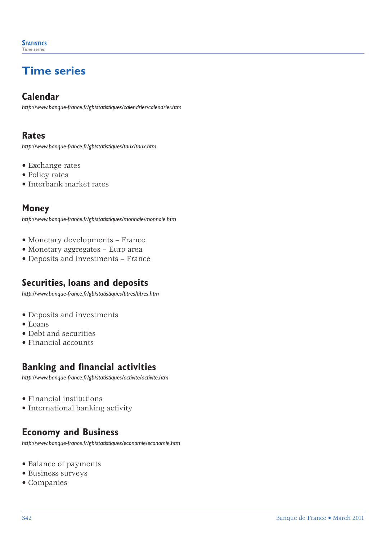## **Time series**

#### **Calendar**

*http://www.banque-france.fr/gb/statistiques/calendrier/calendrier.htm*

#### **Rates**

*http://www.banque-france.fr/gb/statistiques/taux/taux.htm*

- Exchange rates
- Policy rates
- Interbank market rates

#### **Money**

*http://www.banque-france.fr/gb/statistiques/monnaie/monnaie.htm*

- Monetary developments France
- Monetary aggregates Euro area
- Deposits and investments France

#### **Securities, loans and deposits**

*http://www.banque-france.fr/gb/statistiques/titres/titres.htm*

- Deposits and investments
- Loans
- Debt and securities
- Financial accounts

#### **Banking and financial activities**

*http://www.banque-france.fr/gb/statistiques/activite/activite.htm*

- Financial institutions
- International banking activity

#### **Economy and Business**

*http://www.banque-france.fr/gb/statistiques/economie/economie.htm*

- Balance of payments
- Business surveys
- Companies